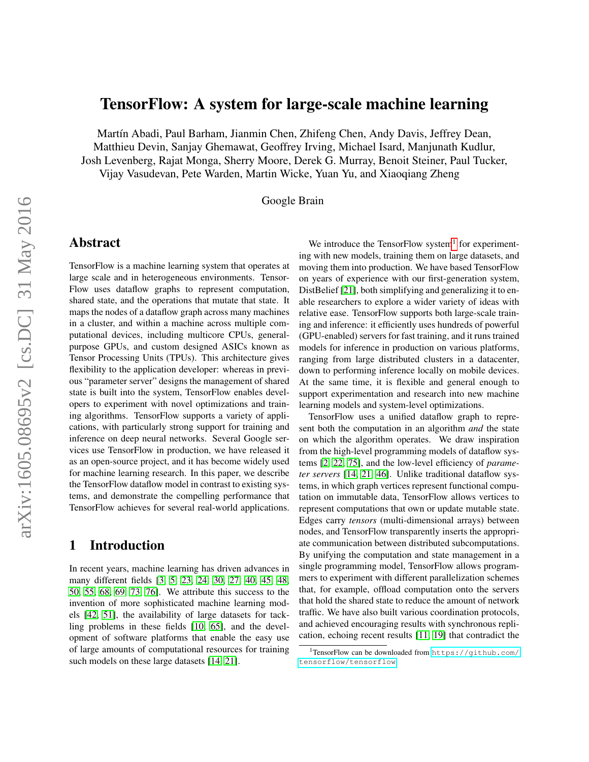# TensorFlow: A system for large-scale machine learning

Martín Abadi, Paul Barham, Jianmin Chen, Zhifeng Chen, Andy Davis, Jeffrey Dean,

Matthieu Devin, Sanjay Ghemawat, Geoffrey Irving, Michael Isard, Manjunath Kudlur,

Josh Levenberg, Rajat Monga, Sherry Moore, Derek G. Murray, Benoit Steiner, Paul Tucker,

Vijay Vasudevan, Pete Warden, Martin Wicke, Yuan Yu, and Xiaoqiang Zheng

### Google Brain

## Abstract

TensorFlow is a machine learning system that operates at large scale and in heterogeneous environments. Tensor-Flow uses dataflow graphs to represent computation, shared state, and the operations that mutate that state. It maps the nodes of a dataflow graph across many machines in a cluster, and within a machine across multiple computational devices, including multicore CPUs, generalpurpose GPUs, and custom designed ASICs known as Tensor Processing Units (TPUs). This architecture gives flexibility to the application developer: whereas in previous "parameter server" designs the management of shared state is built into the system, TensorFlow enables developers to experiment with novel optimizations and training algorithms. TensorFlow supports a variety of applications, with particularly strong support for training and inference on deep neural networks. Several Google services use TensorFlow in production, we have released it as an open-source project, and it has become widely used for machine learning research. In this paper, we describe the TensorFlow dataflow model in contrast to existing systems, and demonstrate the compelling performance that TensorFlow achieves for several real-world applications.

## 1 Introduction

In recent years, machine learning has driven advances in many different fields [\[3,](#page-13-0) [5,](#page-13-1) [23,](#page-14-0) [24,](#page-14-1) [30,](#page-14-2) [27,](#page-14-3) [40,](#page-15-0) [45,](#page-15-1) [48,](#page-15-2) [50,](#page-16-0) [55,](#page-16-1) [68,](#page-17-0) [69,](#page-17-1) [73,](#page-17-2) [76\]](#page-17-3). We attribute this success to the invention of more sophisticated machine learning models [\[42,](#page-15-3) [51\]](#page-16-2), the availability of large datasets for tackling problems in these fields [\[10,](#page-13-2) [65\]](#page-16-3), and the development of software platforms that enable the easy use of large amounts of computational resources for training such models on these large datasets [\[14,](#page-13-3) [21\]](#page-14-4).

We introduce the TensorFlow system<sup>[1](#page-0-0)</sup> for experimenting with new models, training them on large datasets, and moving them into production. We have based TensorFlow on years of experience with our first-generation system, DistBelief [\[21\]](#page-14-4), both simplifying and generalizing it to enable researchers to explore a wider variety of ideas with relative ease. TensorFlow supports both large-scale training and inference: it efficiently uses hundreds of powerful (GPU-enabled) servers for fast training, and it runs trained models for inference in production on various platforms, ranging from large distributed clusters in a datacenter, down to performing inference locally on mobile devices. At the same time, it is flexible and general enough to support experimentation and research into new machine learning models and system-level optimizations.

TensorFlow uses a unified dataflow graph to represent both the computation in an algorithm *and* the state on which the algorithm operates. We draw inspiration from the high-level programming models of dataflow systems [\[2,](#page-13-4) [22,](#page-14-5) [75\]](#page-17-4), and the low-level efficiency of *parameter servers* [\[14,](#page-13-3) [21,](#page-14-4) [46\]](#page-15-4). Unlike traditional dataflow systems, in which graph vertices represent functional computation on immutable data, TensorFlow allows vertices to represent computations that own or update mutable state. Edges carry *tensors* (multi-dimensional arrays) between nodes, and TensorFlow transparently inserts the appropriate communication between distributed subcomputations. By unifying the computation and state management in a single programming model, TensorFlow allows programmers to experiment with different parallelization schemes that, for example, offload computation onto the servers that hold the shared state to reduce the amount of network traffic. We have also built various coordination protocols, and achieved encouraging results with synchronous replication, echoing recent results [\[11,](#page-13-5) [19\]](#page-14-6) that contradict the

<span id="page-0-0"></span><sup>1</sup>TensorFlow can be downloaded from [https://github.com/](https://github.com/tensorflow/tensorflow) [tensorflow/tensorflow](https://github.com/tensorflow/tensorflow).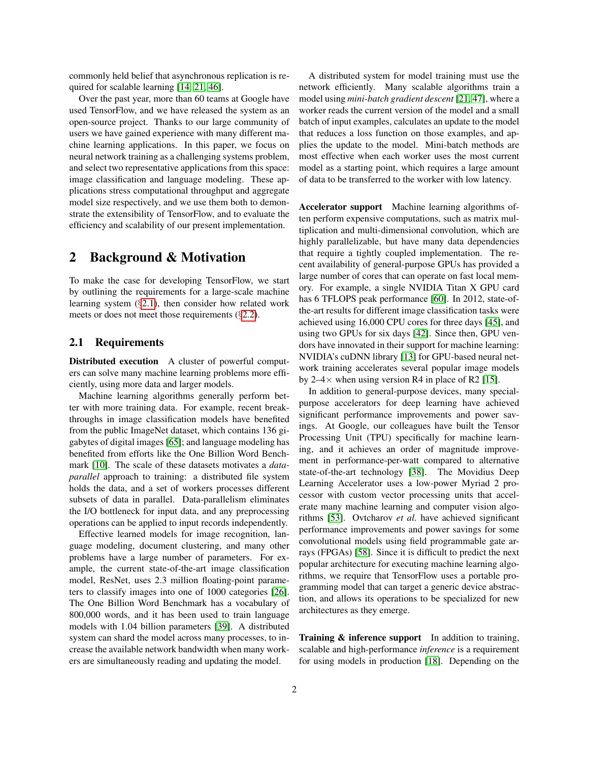commonly held belief that asynchronous replication is required for scalable learning [\[14,](#page-13-3) [21,](#page-14-4) [46\]](#page-15-4).

Over the past year, more than 60 teams at Google have used TensorFlow, and we have released the system as an open-source project. Thanks to our large community of users we have gained experience with many different machine learning applications. In this paper, we focus on neural network training as a challenging systems problem, and select two representative applications from this space: image classification and language modeling. These applications stress computational throughput and aggregate model size respectively, and we use them both to demonstrate the extensibility of TensorFlow, and to evaluate the efficiency and scalability of our present implementation.

### 2 Background & Motivation

To make the case for developing TensorFlow, we start by outlining the requirements for a large-scale machine learning system  $(\S 2.1)$  $(\S 2.1)$ , then consider how related work meets or does not meet those requirements  $(\S2.2)$  $(\S2.2)$ .

#### <span id="page-1-0"></span>2.1 Requirements

Distributed execution A cluster of powerful computers can solve many machine learning problems more efficiently, using more data and larger models.

Machine learning algorithms generally perform better with more training data. For example, recent breakthroughs in image classification models have benefited from the public ImageNet dataset, which contains 136 gigabytes of digital images [\[65\]](#page-16-3); and language modeling has benefited from efforts like the One Billion Word Benchmark [\[10\]](#page-13-2). The scale of these datasets motivates a *dataparallel* approach to training: a distributed file system holds the data, and a set of workers processes different subsets of data in parallel. Data-parallelism eliminates the I/O bottleneck for input data, and any preprocessing operations can be applied to input records independently.

Effective learned models for image recognition, language modeling, document clustering, and many other problems have a large number of parameters. For example, the current state-of-the-art image classification model, ResNet, uses 2.3 million floating-point parameters to classify images into one of 1000 categories [\[26\]](#page-14-7). The One Billion Word Benchmark has a vocabulary of 800,000 words, and it has been used to train language models with 1.04 billion parameters [\[39\]](#page-15-5). A distributed system can shard the model across many processes, to increase the available network bandwidth when many workers are simultaneously reading and updating the model.

A distributed system for model training must use the network efficiently. Many scalable algorithms train a model using *mini-batch gradient descent* [\[21,](#page-14-4) [47\]](#page-15-6), where a worker reads the current version of the model and a small batch of input examples, calculates an update to the model that reduces a loss function on those examples, and applies the update to the model. Mini-batch methods are most effective when each worker uses the most current model as a starting point, which requires a large amount of data to be transferred to the worker with low latency.

Accelerator support Machine learning algorithms often perform expensive computations, such as matrix multiplication and multi-dimensional convolution, which are highly parallelizable, but have many data dependencies that require a tightly coupled implementation. The recent availability of general-purpose GPUs has provided a large number of cores that can operate on fast local memory. For example, a single NVIDIA Titan X GPU card has 6 TFLOPS peak performance [\[60\]](#page-16-4). In 2012, state-ofthe-art results for different image classification tasks were achieved using 16,000 CPU cores for three days [\[45\]](#page-15-1), and using two GPUs for six days [\[42\]](#page-15-3). Since then, GPU vendors have innovated in their support for machine learning: NVIDIA's cuDNN library [\[13\]](#page-13-6) for GPU-based neural network training accelerates several popular image models by 2–4 $\times$  when using version R4 in place of R2 [\[15\]](#page-14-8).

In addition to general-purpose devices, many specialpurpose accelerators for deep learning have achieved significant performance improvements and power savings. At Google, our colleagues have built the Tensor Processing Unit (TPU) specifically for machine learning, and it achieves an order of magnitude improvement in performance-per-watt compared to alternative state-of-the-art technology [\[38\]](#page-15-7). The Movidius Deep Learning Accelerator uses a low-power Myriad 2 processor with custom vector processing units that accelerate many machine learning and computer vision algorithms [\[53\]](#page-16-5). Ovtcharov *et al.* have achieved significant performance improvements and power savings for some convolutional models using field programmable gate arrays (FPGAs) [\[58\]](#page-16-6). Since it is difficult to predict the next popular architecture for executing machine learning algorithms, we require that TensorFlow uses a portable programming model that can target a generic device abstraction, and allows its operations to be specialized for new architectures as they emerge.

**Training**  $\&$  **inference support** In addition to training, scalable and high-performance *inference* is a requirement for using models in production [\[18\]](#page-14-9). Depending on the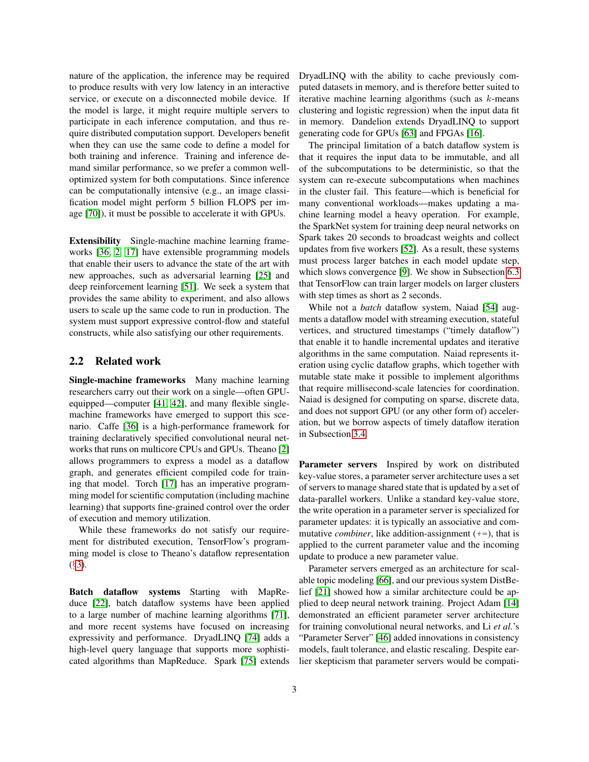nature of the application, the inference may be required to produce results with very low latency in an interactive service, or execute on a disconnected mobile device. If the model is large, it might require multiple servers to participate in each inference computation, and thus require distributed computation support. Developers benefit when they can use the same code to define a model for both training and inference. Training and inference demand similar performance, so we prefer a common welloptimized system for both computations. Since inference can be computationally intensive (e.g., an image classification model might perform 5 billion FLOPS per image [\[70\]](#page-17-5)), it must be possible to accelerate it with GPUs.

Extensibility Single-machine machine learning frameworks [\[36,](#page-15-8) [2,](#page-13-4) [17\]](#page-14-10) have extensible programming models that enable their users to advance the state of the art with new approaches, such as adversarial learning [\[25\]](#page-14-11) and deep reinforcement learning [\[51\]](#page-16-2). We seek a system that provides the same ability to experiment, and also allows users to scale up the same code to run in production. The system must support expressive control-flow and stateful constructs, while also satisfying our other requirements.

#### <span id="page-2-0"></span>2.2 Related work

Single-machine frameworks Many machine learning researchers carry out their work on a single—often GPUequipped—computer [\[41,](#page-15-9) [42\]](#page-15-3), and many flexible singlemachine frameworks have emerged to support this scenario. Caffe [\[36\]](#page-15-8) is a high-performance framework for training declaratively specified convolutional neural networks that runs on multicore CPUs and GPUs. Theano [\[2\]](#page-13-4) allows programmers to express a model as a dataflow graph, and generates efficient compiled code for training that model. Torch [\[17\]](#page-14-10) has an imperative programming model for scientific computation (including machine learning) that supports fine-grained control over the order of execution and memory utilization.

While these frameworks do not satisfy our requirement for distributed execution, TensorFlow's programming model is close to Theano's dataflow representation (§[3\)](#page-3-0).

Batch dataflow systems Starting with MapReduce [\[22\]](#page-14-5), batch dataflow systems have been applied to a large number of machine learning algorithms [\[71\]](#page-17-6), and more recent systems have focused on increasing expressivity and performance. DryadLINQ [\[74\]](#page-17-7) adds a high-level query language that supports more sophisticated algorithms than MapReduce. Spark [\[75\]](#page-17-4) extends DryadLINQ with the ability to cache previously computed datasets in memory, and is therefore better suited to iterative machine learning algorithms (such as  $k$ -means clustering and logistic regression) when the input data fit in memory. Dandelion extends DryadLINQ to support generating code for GPUs [\[63\]](#page-16-7) and FPGAs [\[16\]](#page-14-12).

The principal limitation of a batch dataflow system is that it requires the input data to be immutable, and all of the subcomputations to be deterministic, so that the system can re-execute subcomputations when machines in the cluster fail. This feature—which is beneficial for many conventional workloads—makes updating a machine learning model a heavy operation. For example, the SparkNet system for training deep neural networks on Spark takes 20 seconds to broadcast weights and collect updates from five workers [\[52\]](#page-16-8). As a result, these systems must process larger batches in each model update step, which slows convergence [\[9\]](#page-13-7). We show in Subsection [6.3](#page-10-0) that TensorFlow can train larger models on larger clusters with step times as short as 2 seconds.

While not a *batch* dataflow system, Naiad [\[54\]](#page-16-9) augments a dataflow model with streaming execution, stateful vertices, and structured timestamps ("timely dataflow") that enable it to handle incremental updates and iterative algorithms in the same computation. Naiad represents iteration using cyclic dataflow graphs, which together with mutable state make it possible to implement algorithms that require millisecond-scale latencies for coordination. Naiad is designed for computing on sparse, discrete data, and does not support GPU (or any other form of) acceleration, but we borrow aspects of timely dataflow iteration in Subsection [3.4.](#page-5-0)

Parameter servers Inspired by work on distributed key-value stores, a parameter server architecture uses a set of servers to manage shared state that is updated by a set of data-parallel workers. Unlike a standard key-value store, the write operation in a parameter server is specialized for parameter updates: it is typically an associative and commutative *combiner*, like addition-assignment (+=), that is applied to the current parameter value and the incoming update to produce a new parameter value.

Parameter servers emerged as an architecture for scalable topic modeling [\[66\]](#page-16-10), and our previous system DistBelief [\[21\]](#page-14-4) showed how a similar architecture could be applied to deep neural network training. Project Adam [\[14\]](#page-13-3) demonstrated an efficient parameter server architecture for training convolutional neural networks, and Li *et al.*'s "Parameter Server" [\[46\]](#page-15-4) added innovations in consistency models, fault tolerance, and elastic rescaling. Despite earlier skepticism that parameter servers would be compati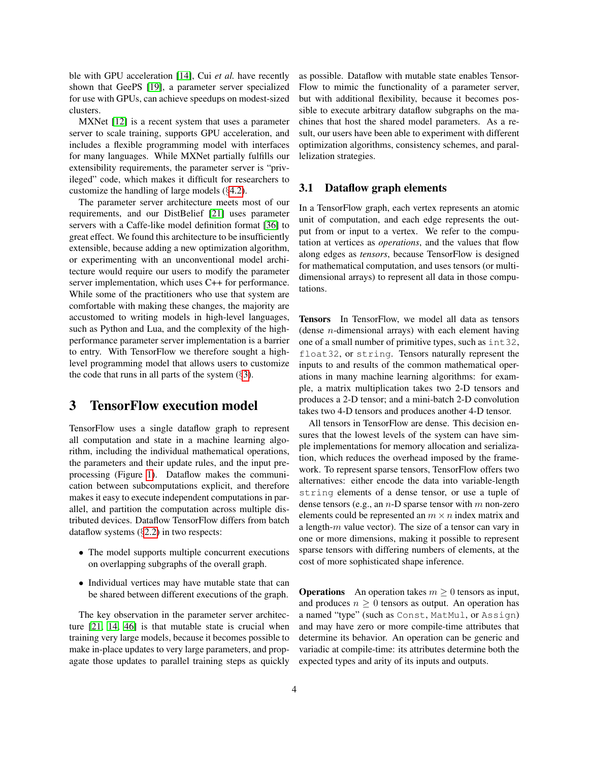ble with GPU acceleration [\[14\]](#page-13-3), Cui *et al.* have recently shown that GeePS [\[19\]](#page-14-6), a parameter server specialized for use with GPUs, can achieve speedups on modest-sized clusters.

MXNet [\[12\]](#page-13-8) is a recent system that uses a parameter server to scale training, supports GPU acceleration, and includes a flexible programming model with interfaces for many languages. While MXNet partially fulfills our extensibility requirements, the parameter server is "privileged" code, which makes it difficult for researchers to customize the handling of large models (§[4.2\)](#page-6-0).

The parameter server architecture meets most of our requirements, and our DistBelief [\[21\]](#page-14-4) uses parameter servers with a Caffe-like model definition format [\[36\]](#page-15-8) to great effect. We found this architecture to be insufficiently extensible, because adding a new optimization algorithm, or experimenting with an unconventional model architecture would require our users to modify the parameter server implementation, which uses C++ for performance. While some of the practitioners who use that system are comfortable with making these changes, the majority are accustomed to writing models in high-level languages, such as Python and Lua, and the complexity of the highperformance parameter server implementation is a barrier to entry. With TensorFlow we therefore sought a highlevel programming model that allows users to customize the code that runs in all parts of the system  $(\S3)$  $(\S3)$ .

### <span id="page-3-0"></span>3 TensorFlow execution model

TensorFlow uses a single dataflow graph to represent all computation and state in a machine learning algorithm, including the individual mathematical operations, the parameters and their update rules, and the input preprocessing (Figure [1\)](#page-4-0). Dataflow makes the communication between subcomputations explicit, and therefore makes it easy to execute independent computations in parallel, and partition the computation across multiple distributed devices. Dataflow TensorFlow differs from batch dataflow systems (§[2.2\)](#page-2-0) in two respects:

- The model supports multiple concurrent executions on overlapping subgraphs of the overall graph.
- Individual vertices may have mutable state that can be shared between different executions of the graph.

The key observation in the parameter server architecture [\[21,](#page-14-4) [14,](#page-13-3) [46\]](#page-15-4) is that mutable state is crucial when training very large models, because it becomes possible to make in-place updates to very large parameters, and propagate those updates to parallel training steps as quickly

as possible. Dataflow with mutable state enables Tensor-Flow to mimic the functionality of a parameter server, but with additional flexibility, because it becomes possible to execute arbitrary dataflow subgraphs on the machines that host the shared model parameters. As a result, our users have been able to experiment with different optimization algorithms, consistency schemes, and parallelization strategies.

#### <span id="page-3-1"></span>3.1 Dataflow graph elements

In a TensorFlow graph, each vertex represents an atomic unit of computation, and each edge represents the output from or input to a vertex. We refer to the computation at vertices as *operations*, and the values that flow along edges as *tensors*, because TensorFlow is designed for mathematical computation, and uses tensors (or multidimensional arrays) to represent all data in those computations.

Tensors In TensorFlow, we model all data as tensors (dense  $n$ -dimensional arrays) with each element having one of a small number of primitive types, such as int32, float32, or string. Tensors naturally represent the inputs to and results of the common mathematical operations in many machine learning algorithms: for example, a matrix multiplication takes two 2-D tensors and produces a 2-D tensor; and a mini-batch 2-D convolution takes two 4-D tensors and produces another 4-D tensor.

All tensors in TensorFlow are dense. This decision ensures that the lowest levels of the system can have simple implementations for memory allocation and serialization, which reduces the overhead imposed by the framework. To represent sparse tensors, TensorFlow offers two alternatives: either encode the data into variable-length string elements of a dense tensor, or use a tuple of dense tensors (e.g., an  $n$ -D sparse tensor with  $m$  non-zero elements could be represented an  $m \times n$  index matrix and a length- $m$  value vector). The size of a tensor can vary in one or more dimensions, making it possible to represent sparse tensors with differing numbers of elements, at the cost of more sophisticated shape inference.

**Operations** An operation takes  $m \geq 0$  tensors as input, and produces  $n \geq 0$  tensors as output. An operation has a named "type" (such as Const, MatMul, or Assign) and may have zero or more compile-time attributes that determine its behavior. An operation can be generic and variadic at compile-time: its attributes determine both the expected types and arity of its inputs and outputs.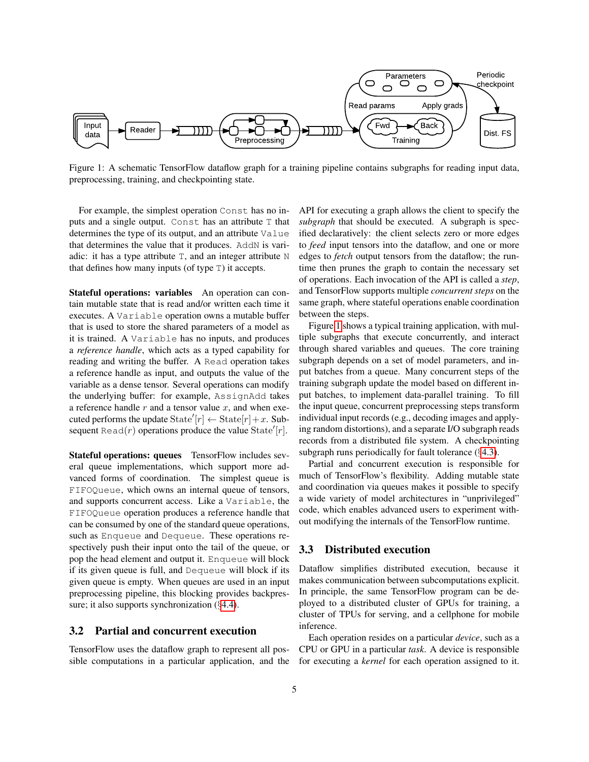

<span id="page-4-0"></span>Figure 1: A schematic TensorFlow dataflow graph for a training pipeline contains subgraphs for reading input data, preprocessing, training, and checkpointing state.

For example, the simplest operation Const has no inputs and a single output. Const has an attribute T that determines the type of its output, and an attribute Value that determines the value that it produces. AddN is variadic: it has a type attribute T, and an integer attribute N that defines how many inputs (of type T) it accepts.

reading and writing the buffer. A Read operation takes a reference handle as input, and outputs the value of the the underlying buffer: for example, AssignAdd takes cuted performs the update State<sup> $r$ </sup> $|r$  ← State $[r]$ +x. Subsequent  $\text{Read}(r)$  operations produce the value  $\text{State}'[r]$ . Stateful operations: variables An operation can contain mutable state that is read and/or written each time it executes. A Variable operation owns a mutable buffer that is used to store the shared parameters of a model as it is trained. A Variable has no inputs, and produces a *reference handle*, which acts as a typed capability for variable as a dense tensor. Several operations can modify a reference handle  $r$  and a tensor value  $x$ , and when exe-

vanced forms of coordination. The simplest queue is eral queue implementations, which support more ad-Stateful operations: queues TensorFlow includes sev-FIFOQueue, which owns an internal queue of tensors, and supports concurrent access. Like a Variable, the FIFOQueue operation produces a reference handle that can be consumed by one of the standard queue operations, such as Enqueue and Dequeue. These operations respectively push their input onto the tail of the queue, or pop the head element and output it. Enqueue will block if its given queue is full, and Dequeue will block if its given queue is empty. When queues are used in an input preprocessing pipeline, this blocking provides backpres-sure; it also supports synchronization (§[4.4\)](#page-7-0).

#### <span id="page-4-1"></span>3.2 Partial and concurrent execution

TensorFlow uses the dataflow graph to represent all possible computations in a particular application, and the API for executing a graph allows the client to specify the *subgraph* that should be executed. A subgraph is specified declaratively: the client selects zero or more edges to *feed* input tensors into the dataflow, and one or more edges to *fetch* output tensors from the dataflow; the runtime then prunes the graph to contain the necessary set of operations. Each invocation of the API is called a *step*, and TensorFlow supports multiple *concurrent steps* on the same graph, where stateful operations enable coordination between the steps.

Figure [1](#page-4-0) shows a typical training application, with multiple subgraphs that execute concurrently, and interact through shared variables and queues. The core training subgraph depends on a set of model parameters, and input batches from a queue. Many concurrent steps of the training subgraph update the model based on different input batches, to implement data-parallel training. To fill the input queue, concurrent preprocessing steps transform individual input records (e.g., decoding images and applying random distortions), and a separate I/O subgraph reads records from a distributed file system. A checkpointing subgraph runs periodically for fault tolerance (§[4.3\)](#page-7-1).

Partial and concurrent execution is responsible for much of TensorFlow's flexibility. Adding mutable state and coordination via queues makes it possible to specify a wide variety of model architectures in "unprivileged" code, which enables advanced users to experiment without modifying the internals of the TensorFlow runtime.

#### <span id="page-4-2"></span>3.3 Distributed execution

Dataflow simplifies distributed execution, because it makes communication between subcomputations explicit. In principle, the same TensorFlow program can be deployed to a distributed cluster of GPUs for training, a cluster of TPUs for serving, and a cellphone for mobile inference.

Each operation resides on a particular *device*, such as a CPU or GPU in a particular *task*. A device is responsible for executing a *kernel* for each operation assigned to it.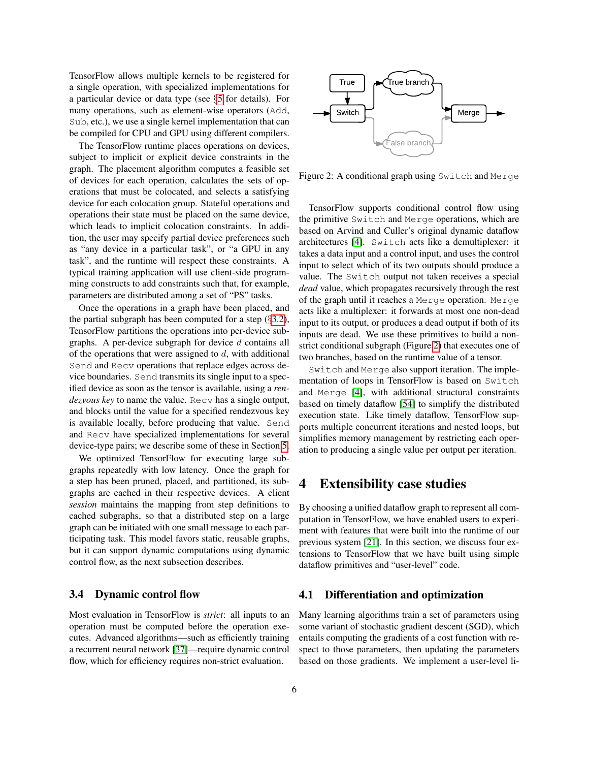TensorFlow allows multiple kernels to be registered for a single operation, with specialized implementations for a particular device or data type (see §[5](#page-8-0) for details). For many operations, such as element-wise operators (Add, Sub, etc.), we use a single kernel implementation that can be compiled for CPU and GPU using different compilers.

The TensorFlow runtime places operations on devices, subject to implicit or explicit device constraints in the graph. The placement algorithm computes a feasible set of devices for each operation, calculates the sets of operations that must be colocated, and selects a satisfying device for each colocation group. Stateful operations and operations their state must be placed on the same device, which leads to implicit colocation constraints. In addition, the user may specify partial device preferences such as "any device in a particular task", or "a GPU in any task", and the runtime will respect these constraints. A typical training application will use client-side programming constructs to add constraints such that, for example, parameters are distributed among a set of "PS" tasks.

Once the operations in a graph have been placed, and the partial subgraph has been computed for a step  $(\S3.2)$  $(\S3.2)$ , TensorFlow partitions the operations into per-device subgraphs. A per-device subgraph for device d contains all of the operations that were assigned to  $d$ , with additional Send and Recv operations that replace edges across device boundaries. Send transmits its single input to a specified device as soon as the tensor is available, using a *rendezvous key* to name the value. Recv has a single output, and blocks until the value for a specified rendezvous key is available locally, before producing that value. Send and Recv have specialized implementations for several device-type pairs; we describe some of these in Section [5.](#page-8-0)

We optimized TensorFlow for executing large subgraphs repeatedly with low latency. Once the graph for a step has been pruned, placed, and partitioned, its subgraphs are cached in their respective devices. A client session maintains the mapping from step definitions to cached subgraphs, so that a distributed step on a large  $\alpha$  and  $\alpha$  and  $\alpha$  and  $\alpha$  are  $\alpha$  and  $\alpha$  are  $\alpha$  and  $\alpha$  are  $\alpha$  and  $\alpha$  are  $\alpha$  and  $\alpha$  are  $\alpha$  and  $\alpha$  are  $\alpha$  and  $\alpha$  are  $\alpha$  and  $\alpha$  are  $\alpha$  and  $\alpha$  are  $\alpha$  and  $\alpha$  are  $\alpha$  and  $\alpha$  are  $\alpha$  ticipating task. This model favors static, reusable graphs, but it can support dynamic computations using dynamic control flow, as the next subsection describes.

#### <span id="page-5-0"></span>3.4 Dynamic control flow

Most evaluation in TensorFlow is *strict*: all inputs to an operation must be computed before the operation executes. Advanced algorithms—such as efficiently training a recurrent neural network [\[37\]](#page-15-10)—require dynamic control flow, which for efficiency requires non-strict evaluation.



<span id="page-5-1"></span>Figure 2: A conditional graph using Switch and Merge

TensorFlow supports conditional control flow using based on Arvind and Culler's original dynamic dataflow input to select which of its two outputs should produce a takes a data input and a control input, and uses the control the primitive Switch and Merge operations, which are architectures [\[4\]](#page-13-9). Switch acts like a demultiplexer: it value. The Switch output not taken receives a special *dead* value, which propagates recursively through the rest of the graph until it reaches a Merge operation. Merge acts like a multiplexer: it forwards at most one non-dead input to its output, or produces a dead output if both of its inputs are dead. We use these primitives to build a nonstrict conditional subgraph (Figure [2\)](#page-5-1) that executes one of two branches, based on the runtime value of a tensor.

Switch and Merge also support iteration. The implementation of loops in TensorFlow is based on Switch and Merge [\[4\]](#page-13-9), with additional structural constraints based on timely dataflow [\[54\]](#page-16-9) to simplify the distributed execution state. Like timely dataflow, TensorFlow supports multiple concurrent iterations and nested loops, but simplifies memory management by restricting each operation to producing a single value per output per iteration.

### <span id="page-5-3"></span>4 Extensibility case studies

By choosing a unified dataflow graph to represent all computation in TensorFlow, we have enabled users to experiment with features that were built into the runtime of our previous system [\[21\]](#page-14-4). In this section, we discuss four extensions to TensorFlow that we have built using simple dataflow primitives and "user-level" code.

#### <span id="page-5-2"></span>4.1 Differentiation and optimization

Many learning algorithms train a set of parameters using some variant of stochastic gradient descent (SGD), which entails computing the gradients of a cost function with respect to those parameters, then updating the parameters based on those gradients. We implement a user-level li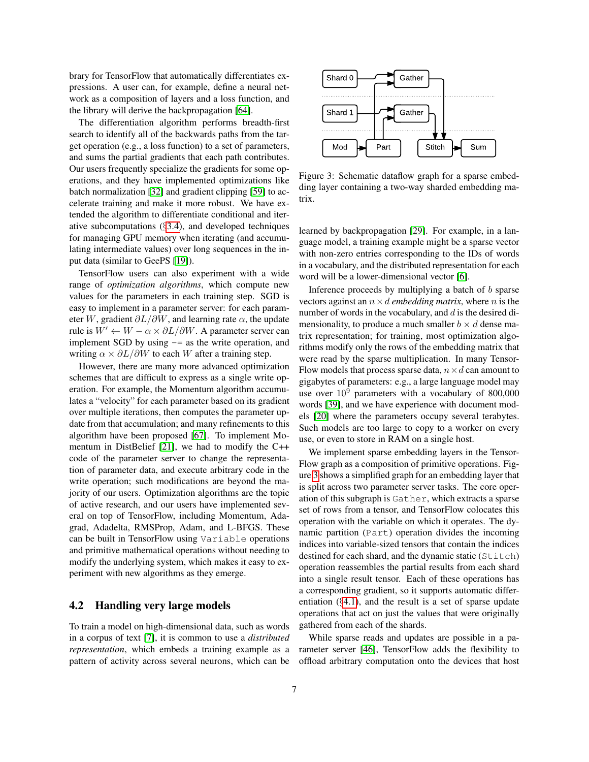brary for TensorFlow that automatically differentiates expressions. A user can, for example, define a neural network as a composition of layers and a loss function, and the library will derive the backpropagation [\[64\]](#page-16-11).

The differentiation algorithm performs breadth-first search to identify all of the backwards paths from the target operation (e.g., a loss function) to a set of parameters, and sums the partial gradients that each path contributes. Our users frequently specialize the gradients for some operations, and they have implemented optimizations like batch normalization [\[32\]](#page-15-11) and gradient clipping [\[59\]](#page-16-12) to accelerate training and make it more robust. We have extended the algorithm to differentiate conditional and iterative subcomputations (§[3.4\)](#page-5-0), and developed techniques for managing GPU memory when iterating (and accumulating intermediate values) over long sequences in the input data (similar to GeePS [\[19\]](#page-14-6)).

TensorFlow users can also experiment with a wide range of *optimization algorithms*, which compute new values for the parameters in each training step. SGD is easy to implement in a parameter server: for each parameter W, gradient  $\partial L/\partial W$ , and learning rate  $\alpha$ , the update rule is  $W' \leftarrow W - \alpha \times \partial L / \partial W$ . A parameter server can implement SGD by using  $-$  as the write operation, and writing  $\alpha \times \partial L / \partial W$  to each W after a training step.

However, there are many more advanced optimization schemes that are difficult to express as a single write operation. For example, the Momentum algorithm accumulates a "velocity" for each parameter based on its gradient over multiple iterations, then computes the parameter update from that accumulation; and many refinements to this algorithm have been proposed [\[67\]](#page-17-8). To implement Momentum in DistBelief [\[21\]](#page-14-4), we had to modify the C++ code of the parameter server to change the representation of parameter data, and execute arbitrary code in the write operation; such modifications are beyond the majority of our users. Optimization algorithms are the topic of active research, and our users have implemented several on top of TensorFlow, including Momentum, Adagrad, Adadelta, RMSProp, Adam, and L-BFGS. These can be built in TensorFlow using Variable operations and primitive mathematical operations without needing to modify the underlying system, which makes it easy to experiment with new algorithms as they emerge.

#### <span id="page-6-0"></span>4.2 Handling very large models

To train a model on high-dimensional data, such as words in a corpus of text [\[7\]](#page-13-10), it is common to use a *distributed representation*, which embeds a training example as a pattern of activity across several neurons, which can be



<span id="page-6-1"></span>Figure 3: Schematic dataflow graph for a sparse embedding layer containing a two-way sharded embedding matrix.

in a vocabulary, and the distributed representation for each with non-zero entries corresponding to the IDs of words learned by backpropagation [\[29\]](#page-14-13). For example, in a language model, a training example might be a sparse vector word will be a lower-dimensional vector [\[6\]](#page-13-11).

Inference proceeds by multiplying a batch of  $b$  sparse vectors against an  $n \times d$  *embedding matrix*, where *n* is the number of words in the vocabulary, and  $d$  is the desired dimensionality, to produce a much smaller  $b \times d$  dense matrix representation; for training, most optimization algorithms modify only the rows of the embedding matrix that were read by the sparse multiplication. In many Tensor-Flow models that process sparse data,  $n \times d$  can amount to gigabytes of parameters: e.g., a large language model may use over  $10^9$  parameters with a vocabulary of 800,000 words [\[39\]](#page-15-5), and we have experience with document models [\[20\]](#page-14-14) where the parameters occupy several terabytes. Such models are too large to copy to a worker on every use, or even to store in RAM on a single host.

is split across two parameter server tasks. The core operation of this subgraph is decreat, which extends a sparse set of rows from a tensor, and TensorFlow colocates this operation with the variable on which it operates. The dy- $\alpha$  operations that act on just the values that were originally a corresponding gradient, so it supports automatic differ- $\alpha$  corresponding gradient, so it supposes automatic directed entiation (§[4.1\)](#page-5-2), and the result is a set of sparse update indices into variable-sized tensors that contain the indices into a single result tensor. Each of these operations has operation reassembles the partial results from each shard We implement sparse embedding layers in the Tensor-Flow graph as a composition of primitive operations. Figure [3](#page-6-1) shows a simplified graph for an embedding layer that ation of this subgraph is Gather, which extracts a sparse namic partition (Part) operation divides the incoming destined for each shard, and the dynamic static (Stitch) gathered from each of the shards.

While sparse reads and updates are possible in a parameter server [\[46\]](#page-15-4), TensorFlow adds the flexibility to offload arbitrary computation onto the devices that host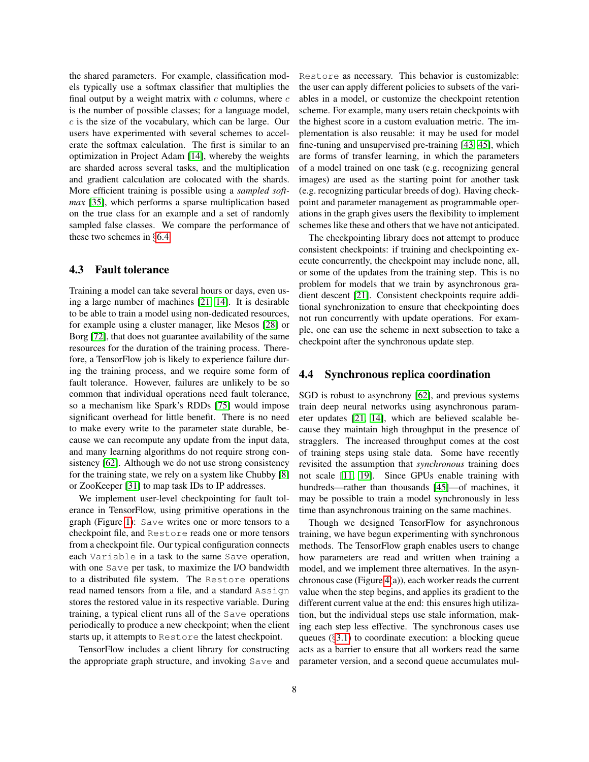the shared parameters. For example, classification models typically use a softmax classifier that multiplies the final output by a weight matrix with  $c$  columns, where  $c$ is the number of possible classes; for a language model,  $c$  is the size of the vocabulary, which can be large. Our users have experimented with several schemes to accelerate the softmax calculation. The first is similar to an optimization in Project Adam [\[14\]](#page-13-3), whereby the weights are sharded across several tasks, and the multiplication and gradient calculation are colocated with the shards. More efficient training is possible using a *sampled softmax* [\[35\]](#page-15-12), which performs a sparse multiplication based on the true class for an example and a set of randomly sampled false classes. We compare the performance of these two schemes in §[6.4.](#page-11-0)

#### <span id="page-7-1"></span>4.3 Fault tolerance

Training a model can take several hours or days, even using a large number of machines [\[21,](#page-14-4) [14\]](#page-13-3). It is desirable to be able to train a model using non-dedicated resources, for example using a cluster manager, like Mesos [\[28\]](#page-14-15) or Borg [\[72\]](#page-17-9), that does not guarantee availability of the same resources for the duration of the training process. Therefore, a TensorFlow job is likely to experience failure during the training process, and we require some form of fault tolerance. However, failures are unlikely to be so common that individual operations need fault tolerance, so a mechanism like Spark's RDDs [\[75\]](#page-17-4) would impose significant overhead for little benefit. There is no need to make every write to the parameter state durable, because we can recompute any update from the input data, and many learning algorithms do not require strong consistency [\[62\]](#page-16-13). Although we do not use strong consistency for the training state, we rely on a system like Chubby [\[8\]](#page-13-12) or ZooKeeper [\[31\]](#page-15-13) to map task IDs to IP addresses.

We implement user-level checkpointing for fault tolerance in TensorFlow, using primitive operations in the graph (Figure [1\)](#page-4-0): Save writes one or more tensors to a checkpoint file, and Restore reads one or more tensors from a checkpoint file. Our typical configuration connects each Variable in a task to the same Save operation, with one Save per task, to maximize the I/O bandwidth to a distributed file system. The Restore operations read named tensors from a file, and a standard Assign stores the restored value in its respective variable. During training, a typical client runs all of the Save operations periodically to produce a new checkpoint; when the client starts up, it attempts to Restore the latest checkpoint.

TensorFlow includes a client library for constructing the appropriate graph structure, and invoking Save and Restore as necessary. This behavior is customizable: the user can apply different policies to subsets of the variables in a model, or customize the checkpoint retention scheme. For example, many users retain checkpoints with the highest score in a custom evaluation metric. The implementation is also reusable: it may be used for model fine-tuning and unsupervised pre-training [\[43,](#page-15-14) [45\]](#page-15-1), which are forms of transfer learning, in which the parameters of a model trained on one task (e.g. recognizing general images) are used as the starting point for another task (e.g. recognizing particular breeds of dog). Having checkpoint and parameter management as programmable operations in the graph gives users the flexibility to implement schemes like these and others that we have not anticipated.

The checkpointing library does not attempt to produce consistent checkpoints: if training and checkpointing execute concurrently, the checkpoint may include none, all, or some of the updates from the training step. This is no problem for models that we train by asynchronous gradient descent [\[21\]](#page-14-4). Consistent checkpoints require additional synchronization to ensure that checkpointing does not run concurrently with update operations. For example, one can use the scheme in next subsection to take a checkpoint after the synchronous update step.

#### <span id="page-7-0"></span>4.4 Synchronous replica coordination

SGD is robust to asynchrony [\[62\]](#page-16-13), and previous systems train deep neural networks using asynchronous parameter updates [\[21,](#page-14-4) [14\]](#page-13-3), which are believed scalable because they maintain high throughput in the presence of stragglers. The increased throughput comes at the cost of training steps using stale data. Some have recently revisited the assumption that *synchronous* training does not scale [\[11,](#page-13-5) [19\]](#page-14-6). Since GPUs enable training with hundreds—rather than thousands [\[45\]](#page-15-1)—of machines, it may be possible to train a model synchronously in less time than asynchronous training on the same machines.

Though we designed TensorFlow for asynchronous training, we have begun experimenting with synchronous methods. The TensorFlow graph enables users to change how parameters are read and written when training a model, and we implement three alternatives. In the asynchronous case (Figure [4\(](#page-8-1)a)), each worker reads the current value when the step begins, and applies its gradient to the different current value at the end: this ensures high utilization, but the individual steps use stale information, making each step less effective. The synchronous cases use queues (§[3.1\)](#page-3-1) to coordinate execution: a blocking queue acts as a barrier to ensure that all workers read the same parameter version, and a second queue accumulates mul-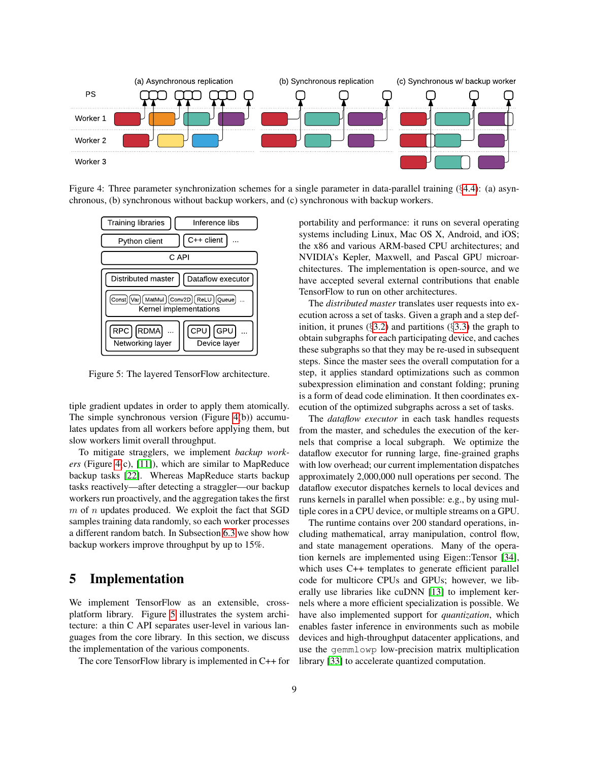

Figure 4: Three parameter synchronization schemes for a single parameter in data-parallel training (§[4.4\)](#page-7-0): (a) asynchronous, (b) synchronous without backup workers, and (c) synchronous with backup workers.

<span id="page-8-1"></span>

<span id="page-8-2"></span>Figure 5: The layered TensorFlow architecture.

tiple gradient updates in order to apply them atomically. The simple synchronous version (Figure [4\(](#page-8-1)b)) accumulates updates from all workers before applying them, but slow workers limit overall throughput.

To mitigate stragglers, we implement *backup workers* (Figure [4\(](#page-8-1)c), [\[11\]](#page-13-5)), which are similar to MapReduce backup tasks [\[22\]](#page-14-5). Whereas MapReduce starts backup tasks reactively—after detecting a straggler—our backup workers run proactively, and the aggregation takes the first  $m$  of n updates produced. We exploit the fact that SGD samples training data randomly, so each worker processes a different random batch. In Subsection [6.3](#page-10-0) we show how backup workers improve throughput by up to 15%.

## <span id="page-8-0"></span>5 Implementation

We implement TensorFlow as an extensible, crossplatform library. Figure [5](#page-8-2) illustrates the system architecture: a thin C API separates user-level in various languages from the core library. In this section, we discuss the implementation of the various components.

The core TensorFlow library is implemented in C++ for

portability and performance: it runs on several operating systems including Linux, Mac OS X, Android, and iOS; the x86 and various ARM-based CPU architectures; and NVIDIA's Kepler, Maxwell, and Pascal GPU microarchitectures. The implementation is open-source, and we have accepted several external contributions that enable TensorFlow to run on other architectures.

The *distributed master* translates user requests into execution across a set of tasks. Given a graph and a step definition, it prunes  $(\S3.2)$  $(\S3.2)$  and partitions  $(\S3.3)$  $(\S3.3)$  the graph to obtain subgraphs for each participating device, and caches these subgraphs so that they may be re-used in subsequent steps. Since the master sees the overall computation for a step, it applies standard optimizations such as common subexpression elimination and constant folding; pruning is a form of dead code elimination. It then coordinates execution of the optimized subgraphs across a set of tasks.

The *dataflow executor* in each task handles requests from the master, and schedules the execution of the kernels that comprise a local subgraph. We optimize the dataflow executor for running large, fine-grained graphs with low overhead; our current implementation dispatches approximately 2,000,000 null operations per second. The dataflow executor dispatches kernels to local devices and runs kernels in parallel when possible: e.g., by using multiple cores in a CPU device, or multiple streams on a GPU.

The runtime contains over 200 standard operations, including mathematical, array manipulation, control flow, and state management operations. Many of the operation kernels are implemented using Eigen::Tensor [\[34\]](#page-15-15), which uses C++ templates to generate efficient parallel code for multicore CPUs and GPUs; however, we liberally use libraries like cuDNN [\[13\]](#page-13-6) to implement kernels where a more efficient specialization is possible. We have also implemented support for *quantization*, which enables faster inference in environments such as mobile devices and high-throughput datacenter applications, and use the gemmlowp low-precision matrix multiplication library [\[33\]](#page-15-16) to accelerate quantized computation.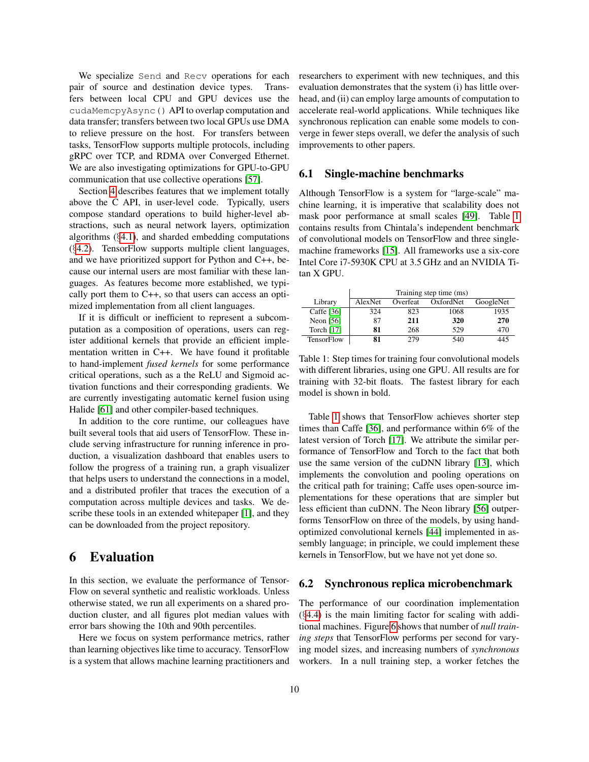We specialize Send and Recv operations for each pair of source and destination device types. Transfers between local CPU and GPU devices use the cudaMemcpyAsync() API to overlap computation and data transfer; transfers between two local GPUs use DMA to relieve pressure on the host. For transfers between tasks, TensorFlow supports multiple protocols, including gRPC over TCP, and RDMA over Converged Ethernet. We are also investigating optimizations for GPU-to-GPU communication that use collective operations [\[57\]](#page-16-14).

Section [4](#page-5-3) describes features that we implement totally above the C API, in user-level code. Typically, users compose standard operations to build higher-level abstractions, such as neural network layers, optimization algorithms (§[4.1\)](#page-5-2), and sharded embedding computations (§[4.2\)](#page-6-0). TensorFlow supports multiple client languages, and we have prioritized support for Python and C++, because our internal users are most familiar with these languages. As features become more established, we typically port them to C++, so that users can access an optimized implementation from all client languages.

If it is difficult or inefficient to represent a subcomputation as a composition of operations, users can register additional kernels that provide an efficient implementation written in C++. We have found it profitable to hand-implement *fused kernels* for some performance critical operations, such as a the ReLU and Sigmoid activation functions and their corresponding gradients. We are currently investigating automatic kernel fusion using Halide [\[61\]](#page-16-15) and other compiler-based techniques.

In addition to the core runtime, our colleagues have built several tools that aid users of TensorFlow. These include serving infrastructure for running inference in production, a visualization dashboard that enables users to follow the progress of a training run, a graph visualizer that helps users to understand the connections in a model, and a distributed profiler that traces the execution of a computation across multiple devices and tasks. We describe these tools in an extended whitepaper [\[1\]](#page-12-0), and they can be downloaded from the project repository.

## <span id="page-9-1"></span>6 Evaluation

In this section, we evaluate the performance of Tensor-Flow on several synthetic and realistic workloads. Unless otherwise stated, we run all experiments on a shared production cluster, and all figures plot median values with error bars showing the 10th and 90th percentiles.

Here we focus on system performance metrics, rather than learning objectives like time to accuracy. TensorFlow is a system that allows machine learning practitioners and researchers to experiment with new techniques, and this evaluation demonstrates that the system (i) has little overhead, and (ii) can employ large amounts of computation to accelerate real-world applications. While techniques like synchronous replication can enable some models to converge in fewer steps overall, we defer the analysis of such improvements to other papers.

#### 6.1 Single-machine benchmarks

Although TensorFlow is a system for "large-scale" machine learning, it is imperative that scalability does not mask poor performance at small scales [\[49\]](#page-16-16). Table [1](#page-9-0) contains results from Chintala's independent benchmark of convolutional models on TensorFlow and three singlemachine frameworks [\[15\]](#page-14-8). All frameworks use a six-core Intel Core i7-5930K CPU at 3.5 GHz and an NVIDIA Titan X GPU.

|                   | Training step time (ms) |          |           |           |
|-------------------|-------------------------|----------|-----------|-----------|
| Library           | AlexNet                 | Overfeat | OxfordNet | GoogleNet |
| Caffe [36]        | 324                     | 823      | 1068      | 1935      |
| Neon [56]         | 87                      | 211      | 320       | 270       |
| Torch $[17]$      | 81                      | 268      | 529       | 470       |
| <b>TensorFlow</b> | 81                      | 279      | 540       | 445       |

<span id="page-9-0"></span>Table 1: Step times for training four convolutional models with different libraries, using one GPU. All results are for training with 32-bit floats. The fastest library for each model is shown in bold.

Table [1](#page-9-0) shows that TensorFlow achieves shorter step times than Caffe [\[36\]](#page-15-8), and performance within 6% of the latest version of Torch [\[17\]](#page-14-10). We attribute the similar performance of TensorFlow and Torch to the fact that both use the same version of the cuDNN library [\[13\]](#page-13-6), which implements the convolution and pooling operations on the critical path for training; Caffe uses open-source implementations for these operations that are simpler but less efficient than cuDNN. The Neon library [\[56\]](#page-16-17) outperforms TensorFlow on three of the models, by using handoptimized convolutional kernels [\[44\]](#page-15-17) implemented in assembly language; in principle, we could implement these kernels in TensorFlow, but we have not yet done so.

#### 6.2 Synchronous replica microbenchmark

The performance of our coordination implementation  $(\S4.4)$  $(\S4.4)$  is the main limiting factor for scaling with additional machines. Figure [6](#page-10-1) shows that number of *null training steps* that TensorFlow performs per second for varying model sizes, and increasing numbers of *synchronous* workers. In a null training step, a worker fetches the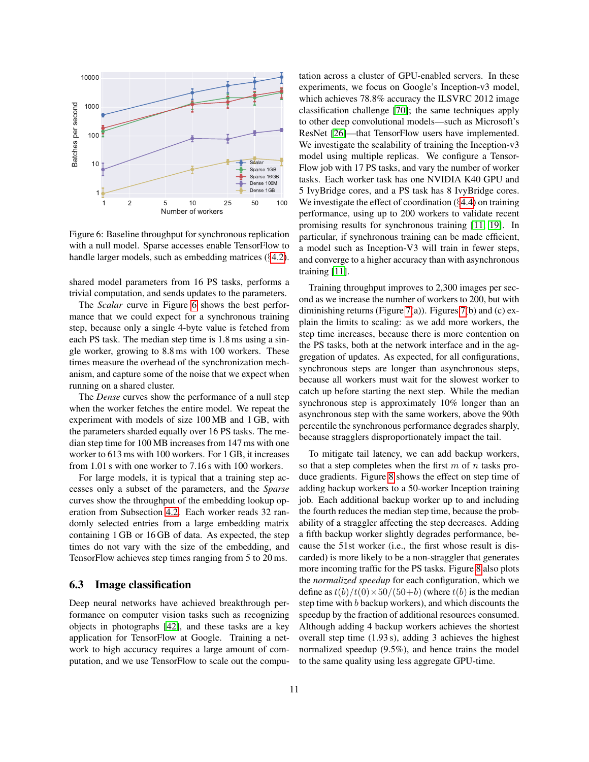

<span id="page-10-1"></span>Figure 6: Baseline throughput for synchronous replication with a null model. Sparse accesses enable TensorFlow to handle larger models, such as embedding matrices (§[4.2\)](#page-6-0).

shared model parameters from 16 PS tasks, performs a trivial computation, and sends updates to the parameters.

The *Scalar* curve in Figure [6](#page-10-1) shows the best performance that we could expect for a synchronous training step, because only a single 4-byte value is fetched from each PS task. The median step time is 1.8 ms using a single worker, growing to 8.8 ms with 100 workers. These times measure the overhead of the synchronization mechanism, and capture some of the noise that we expect when running on a shared cluster.

The *Dense* curves show the performance of a null step when the worker fetches the entire model. We repeat the experiment with models of size 100 MB and 1 GB, with the parameters sharded equally over 16 PS tasks. The median step time for 100 MB increases from 147 ms with one worker to 613 ms with 100 workers. For 1 GB, it increases from 1.01 s with one worker to 7.16 s with 100 workers.

For large models, it is typical that a training step accesses only a subset of the parameters, and the *Sparse* curves show the throughput of the embedding lookup operation from Subsection [4.2.](#page-6-0) Each worker reads 32 randomly selected entries from a large embedding matrix containing 1 GB or 16 GB of data. As expected, the step times do not vary with the size of the embedding, and TensorFlow achieves step times ranging from 5 to 20 ms.

#### <span id="page-10-0"></span>6.3 Image classification

Deep neural networks have achieved breakthrough performance on computer vision tasks such as recognizing objects in photographs [\[42\]](#page-15-3), and these tasks are a key application for TensorFlow at Google. Training a network to high accuracy requires a large amount of computation, and we use TensorFlow to scale out the compu-

tation across a cluster of GPU-enabled servers. In these experiments, we focus on Google's Inception-v3 model, which achieves  $78.8\%$  accuracy the ILSVRC 2012 image classification challenge [\[70\]](#page-17-5); the same techniques apply to other deep convolutional models—such as Microsoft's ResNet [\[26\]](#page-14-7)—that TensorFlow users have implemented. We investigate the scalability of training the Inception-v3 model using multiple replicas. We configure a Tensor-Flow job with 17 PS tasks, and vary the number of worker tasks. Each worker task has one NVIDIA K40 GPU and 5 IvyBridge cores, and a PS task has 8 IvyBridge cores. We investigate the effect of coordination (§[4.4\)](#page-7-0) on training performance, using up to 200 workers to validate recent promising results for synchronous training [\[11,](#page-13-5) [19\]](#page-14-6). In particular, if synchronous training can be made efficient, a model such as Inception-V3 will train in fewer steps, and converge to a higher accuracy than with asynchronous training [\[11\]](#page-13-5).

Training throughput improves to 2,300 images per second as we increase the number of workers to 200, but with diminishing returns (Figure [7\(](#page-11-1)a)). Figures 7(b) and (c) explain the limits to scaling: as we add more workers, the step time increases, because there is more contention on the PS tasks, both at the network interface and in the aggregation of updates. As expected, for all configurations, synchronous steps are longer than asynchronous steps, because all workers must wait for the slowest worker to catch up before starting the next step. While the median synchronous step is approximately 10% longer than an asynchronous step with the same workers, above the 90th percentile the synchronous performance degrades sharply, because stragglers disproportionately impact the tail.

To mitigate tail latency, we can add backup workers, so that a step completes when the first  $m$  of  $n$  tasks produce gradients. Figure [8](#page-11-2) shows the effect on step time of adding backup workers to a 50-worker Inception training job. Each additional backup worker up to and including the fourth reduces the median step time, because the probability of a straggler affecting the step decreases. Adding a fifth backup worker slightly degrades performance, because the 51st worker (i.e., the first whose result is discarded) is more likely to be a non-straggler that generates more incoming traffic for the PS tasks. Figure [8](#page-11-2) also plots the *normalized speedup* for each configuration, which we define as  $t(b)/t(0) \times 50/(50+b)$  (where  $t(b)$ ) is the median step time with b backup workers), and which discounts the speedup by the fraction of additional resources consumed. Although adding 4 backup workers achieves the shortest overall step time (1.93 s), adding 3 achieves the highest normalized speedup (9.5%), and hence trains the model to the same quality using less aggregate GPU-time.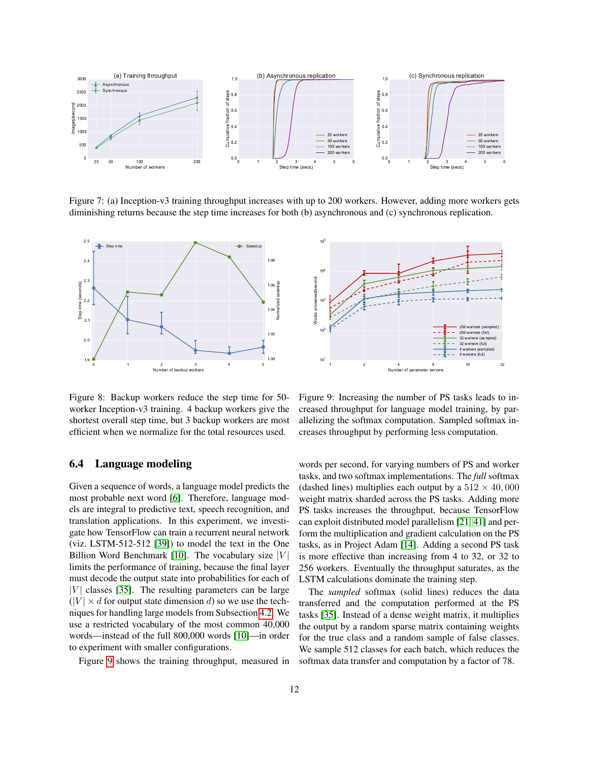

<span id="page-11-1"></span>Figure 7: (a) Inception-v3 training throughput increases with up to 200 workers. However, adding more workers gets diminishing returns because the step time increases for both (b) asynchronous and (c) synchronous replication.



<span id="page-11-2"></span>Figure 8: Backup workers reduce the step time for 50 worker Inception-v3 training. 4 backup workers give the shortest overall step time, but 3 backup workers are most efficient when we normalize for the total resources used.

#### <span id="page-11-0"></span>6.4 Language modeling

Given a sequence of words, a language model predicts the most probable next word [\[6\]](#page-13-11). Therefore, language models are integral to predictive text, speech recognition, and translation applications. In this experiment, we investigate how TensorFlow can train a recurrent neural network (viz. LSTM-512-512 [\[39\]](#page-15-5)) to model the text in the One Billion Word Benchmark [\[10\]](#page-13-2). The vocabulary size  $|V|$ limits the performance of training, because the final layer must decode the output state into probabilities for each of  $|V|$  classes [\[35\]](#page-15-12). The resulting parameters can be large  $(|V| \times d$  for output state dimension d) so we use the techniques for handling large models from Subsection [4.2.](#page-6-0) We use a restricted vocabulary of the most common 40,000 words—instead of the full 800,000 words [\[10\]](#page-13-2)—in order to experiment with smaller configurations.

Figure [9](#page-11-3) shows the training throughput, measured in

10 5 10 4 Words processed/second 10 Vords proces 3 256 workers (sampled) 256 workers (full) 32 workers (sampled) 2  $10<sup>6</sup>$ 32 workers (full) 4 workers (sampled) 4 workers (full) 10 1 1 2 4 8 16 32 Number

<span id="page-11-3"></span>Figure 9: Increasing the number of PS tasks leads to increased throughput for language model training, by parallelizing the softmax computation. Sampled softmax increases throughput by performing less computation.

words per second, for varying numbers of PS and worker tasks, and two softmax implementations. The *full* softmax (dashed lines) multiplies each output by a  $512 \times 40,000$ weight matrix sharded across the PS tasks. Adding more PS tasks increases the throughput, because TensorFlow can exploit distributed model parallelism [\[21,](#page-14-4) [41\]](#page-15-9) and perform the multiplication and gradient calculation on the PS tasks, as in Project Adam [\[14\]](#page-13-3). Adding a second PS task is more effective than increasing from 4 to 32, or 32 to 256 workers. Eventually the throughput saturates, as the LSTM calculations dominate the training step.

The *sampled* softmax (solid lines) reduces the data transferred and the computation performed at the PS tasks [\[35\]](#page-15-12). Instead of a dense weight matrix, it multiplies the output by a random sparse matrix containing weights for the true class and a random sample of false classes. We sample 512 classes for each batch, which reduces the softmax data transfer and computation by a factor of 78.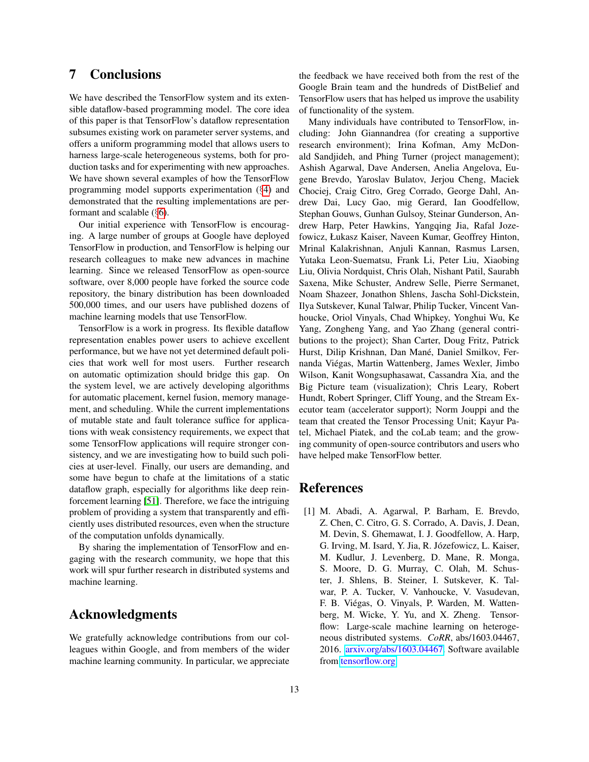## 7 Conclusions

We have described the TensorFlow system and its extensible dataflow-based programming model. The core idea of this paper is that TensorFlow's dataflow representation subsumes existing work on parameter server systems, and offers a uniform programming model that allows users to harness large-scale heterogeneous systems, both for production tasks and for experimenting with new approaches. We have shown several examples of how the TensorFlow programming model supports experimentation (§[4\)](#page-5-3) and demonstrated that the resulting implementations are performant and scalable  $(\S6)$  $(\S6)$ .

Our initial experience with TensorFlow is encouraging. A large number of groups at Google have deployed TensorFlow in production, and TensorFlow is helping our research colleagues to make new advances in machine learning. Since we released TensorFlow as open-source software, over 8,000 people have forked the source code repository, the binary distribution has been downloaded 500,000 times, and our users have published dozens of machine learning models that use TensorFlow.

TensorFlow is a work in progress. Its flexible dataflow representation enables power users to achieve excellent performance, but we have not yet determined default policies that work well for most users. Further research on automatic optimization should bridge this gap. On the system level, we are actively developing algorithms for automatic placement, kernel fusion, memory management, and scheduling. While the current implementations of mutable state and fault tolerance suffice for applications with weak consistency requirements, we expect that some TensorFlow applications will require stronger consistency, and we are investigating how to build such policies at user-level. Finally, our users are demanding, and some have begun to chafe at the limitations of a static dataflow graph, especially for algorithms like deep reinforcement learning [\[51\]](#page-16-2). Therefore, we face the intriguing problem of providing a system that transparently and efficiently uses distributed resources, even when the structure of the computation unfolds dynamically.

By sharing the implementation of TensorFlow and engaging with the research community, we hope that this work will spur further research in distributed systems and machine learning.

## Acknowledgments

We gratefully acknowledge contributions from our colleagues within Google, and from members of the wider machine learning community. In particular, we appreciate the feedback we have received both from the rest of the Google Brain team and the hundreds of DistBelief and TensorFlow users that has helped us improve the usability of functionality of the system.

Many individuals have contributed to TensorFlow, including: John Giannandrea (for creating a supportive research environment); Irina Kofman, Amy McDonald Sandjideh, and Phing Turner (project management); Ashish Agarwal, Dave Andersen, Anelia Angelova, Eugene Brevdo, Yaroslav Bulatov, Jerjou Cheng, Maciek Chociej, Craig Citro, Greg Corrado, George Dahl, Andrew Dai, Lucy Gao, mig Gerard, Ian Goodfellow, Stephan Gouws, Gunhan Gulsoy, Steinar Gunderson, Andrew Harp, Peter Hawkins, Yangqing Jia, Rafal Jozefowicz, Łukasz Kaiser, Naveen Kumar, Geoffrey Hinton, Mrinal Kalakrishnan, Anjuli Kannan, Rasmus Larsen, Yutaka Leon-Suematsu, Frank Li, Peter Liu, Xiaobing Liu, Olivia Nordquist, Chris Olah, Nishant Patil, Saurabh Saxena, Mike Schuster, Andrew Selle, Pierre Sermanet, Noam Shazeer, Jonathon Shlens, Jascha Sohl-Dickstein, Ilya Sutskever, Kunal Talwar, Philip Tucker, Vincent Vanhoucke, Oriol Vinyals, Chad Whipkey, Yonghui Wu, Ke Yang, Zongheng Yang, and Yao Zhang (general contributions to the project); Shan Carter, Doug Fritz, Patrick Hurst, Dilip Krishnan, Dan Mané, Daniel Smilkov, Fernanda Viegas, Martin Wattenberg, James Wexler, Jimbo ´ Wilson, Kanit Wongsuphasawat, Cassandra Xia, and the Big Picture team (visualization); Chris Leary, Robert Hundt, Robert Springer, Cliff Young, and the Stream Executor team (accelerator support); Norm Jouppi and the team that created the Tensor Processing Unit; Kayur Patel, Michael Piatek, and the coLab team; and the growing community of open-source contributors and users who have helped make TensorFlow better.

## References

<span id="page-12-0"></span>[1] M. Abadi, A. Agarwal, P. Barham, E. Brevdo, Z. Chen, C. Citro, G. S. Corrado, A. Davis, J. Dean, M. Devin, S. Ghemawat, I. J. Goodfellow, A. Harp, G. Irving, M. Isard, Y. Jia, R. Józefowicz, L. Kaiser, M. Kudlur, J. Levenberg, D. Mane, R. Monga, S. Moore, D. G. Murray, C. Olah, M. Schuster, J. Shlens, B. Steiner, I. Sutskever, K. Talwar, P. A. Tucker, V. Vanhoucke, V. Vasudevan, F. B. Viégas, O. Vinyals, P. Warden, M. Wattenberg, M. Wicke, Y. Yu, and X. Zheng. Tensorflow: Large-scale machine learning on heterogeneous distributed systems. *CoRR*, abs/1603.04467, 2016. [arxiv.org/abs/1603.04467.](http://arxiv.org/abs/1603.04467) Software available from [tensorflow.org.](http://tensorflow.org)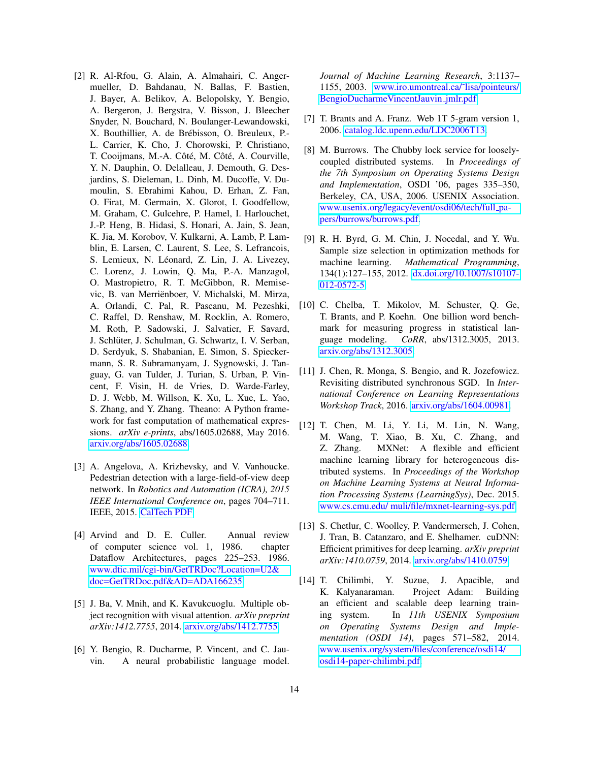- <span id="page-13-4"></span>[2] R. Al-Rfou, G. Alain, A. Almahairi, C. Angermueller, D. Bahdanau, N. Ballas, F. Bastien, J. Bayer, A. Belikov, A. Belopolsky, Y. Bengio, A. Bergeron, J. Bergstra, V. Bisson, J. Bleecher Snyder, N. Bouchard, N. Boulanger-Lewandowski, X. Bouthillier, A. de Brebisson, O. Breuleux, P.- ´ L. Carrier, K. Cho, J. Chorowski, P. Christiano, T. Cooijmans, M.-A. Côté, M. Côté, A. Courville, Y. N. Dauphin, O. Delalleau, J. Demouth, G. Desjardins, S. Dieleman, L. Dinh, M. Ducoffe, V. Dumoulin, S. Ebrahimi Kahou, D. Erhan, Z. Fan, O. Firat, M. Germain, X. Glorot, I. Goodfellow, M. Graham, C. Gulcehre, P. Hamel, I. Harlouchet, J.-P. Heng, B. Hidasi, S. Honari, A. Jain, S. Jean, K. Jia, M. Korobov, V. Kulkarni, A. Lamb, P. Lamblin, E. Larsen, C. Laurent, S. Lee, S. Lefrancois, S. Lemieux, N. Léonard, Z. Lin, J. A. Livezey, C. Lorenz, J. Lowin, Q. Ma, P.-A. Manzagol, O. Mastropietro, R. T. McGibbon, R. Memisevic, B. van Merriënboer, V. Michalski, M. Mirza, A. Orlandi, C. Pal, R. Pascanu, M. Pezeshki, C. Raffel, D. Renshaw, M. Rocklin, A. Romero, M. Roth, P. Sadowski, J. Salvatier, F. Savard, J. Schlüter, J. Schulman, G. Schwartz, I. V. Serban, D. Serdyuk, S. Shabanian, E. Simon, S. Spieckermann, S. R. Subramanyam, J. Sygnowski, J. Tanguay, G. van Tulder, J. Turian, S. Urban, P. Vincent, F. Visin, H. de Vries, D. Warde-Farley, D. J. Webb, M. Willson, K. Xu, L. Xue, L. Yao, S. Zhang, and Y. Zhang. Theano: A Python framework for fast computation of mathematical expressions. *arXiv e-prints*, abs/1605.02688, May 2016. [arxiv.org/abs/1605.02688.](http://arxiv.org/abs/1605.02688)
- <span id="page-13-0"></span>[3] A. Angelova, A. Krizhevsky, and V. Vanhoucke. Pedestrian detection with a large-field-of-view deep network. In *Robotics and Automation (ICRA), 2015 IEEE International Conference on*, pages 704–711. IEEE, 2015. [CalTech PDF.](http://www.vision.caltech.edu/anelia/publications/Angelova15LFOV.pdf)
- <span id="page-13-9"></span>[4] Arvind and D. E. Culler. Annual review of computer science vol. 1, 1986. chapter Dataflow Architectures, pages 225–253. 1986. [www.dtic.mil/cgi-bin/GetTRDoc?Location=U2&](http://www.dtic.mil/cgi-bin/GetTRDoc?Location=U2&doc=GetTRDoc.pdf&AD=ADA166235) [doc=GetTRDoc.pdf&AD=ADA166235.](http://www.dtic.mil/cgi-bin/GetTRDoc?Location=U2&doc=GetTRDoc.pdf&AD=ADA166235)
- <span id="page-13-1"></span>[5] J. Ba, V. Mnih, and K. Kavukcuoglu. Multiple object recognition with visual attention. *arXiv preprint arXiv:1412.7755*, 2014. [arxiv.org/abs/1412.7755.](http://arxiv.org/abs/1412.7755)
- <span id="page-13-11"></span>[6] Y. Bengio, R. Ducharme, P. Vincent, and C. Jauvin. A neural probabilistic language model.

*Journal of Machine Learning Research*, 3:1137– 1155, 2003. [www.iro.umontreal.ca/˜lisa/pointeurs/](http://www.iro.umontreal.ca/~lisa/pointeurs/BengioDucharmeVincentJauvin_jmlr.pdf) [BengioDucharmeVincentJauvin](http://www.iro.umontreal.ca/~lisa/pointeurs/BengioDucharmeVincentJauvin_jmlr.pdf) jmlr.pdf.

- <span id="page-13-10"></span>[7] T. Brants and A. Franz. Web 1T 5-gram version 1, 2006. [catalog.ldc.upenn.edu/LDC2006T13.](https://catalog.ldc.upenn.edu/LDC2006T13)
- <span id="page-13-12"></span>[8] M. Burrows. The Chubby lock service for looselycoupled distributed systems. In *Proceedings of the 7th Symposium on Operating Systems Design and Implementation*, OSDI '06, pages 335–350, Berkeley, CA, USA, 2006. USENIX Association. [www.usenix.org/legacy/event/osdi06/tech/full](https://www.usenix.org/legacy/event/osdi06/tech/full_papers/burrows/burrows.pdf) pa[pers/burrows/burrows.pdf.](https://www.usenix.org/legacy/event/osdi06/tech/full_papers/burrows/burrows.pdf)
- <span id="page-13-7"></span>[9] R. H. Byrd, G. M. Chin, J. Nocedal, and Y. Wu. Sample size selection in optimization methods for machine learning. *Mathematical Programming*, 134(1):127–155, 2012. [dx.doi.org/10.1007/s10107-](http://dx.doi.org/10.1007/s10107-012-0572-5) [012-0572-5.](http://dx.doi.org/10.1007/s10107-012-0572-5)
- <span id="page-13-2"></span>[10] C. Chelba, T. Mikolov, M. Schuster, Q. Ge, T. Brants, and P. Koehn. One billion word benchmark for measuring progress in statistical language modeling. *CoRR*, abs/1312.3005, 2013. [arxiv.org/abs/1312.3005.](http://arxiv.org/abs/1312.3005)
- <span id="page-13-5"></span>[11] J. Chen, R. Monga, S. Bengio, and R. Jozefowicz. Revisiting distributed synchronous SGD. In *International Conference on Learning Representations Workshop Track*, 2016. [arxiv.org/abs/1604.00981.](http://arxiv.org/abs/1604.00981)
- <span id="page-13-8"></span>[12] T. Chen, M. Li, Y. Li, M. Lin, N. Wang, M. Wang, T. Xiao, B. Xu, C. Zhang, and Z. Zhang. MXNet: A flexible and efficient machine learning library for heterogeneous distributed systems. In *Proceedings of the Workshop on Machine Learning Systems at Neural Information Processing Systems (LearningSys)*, Dec. 2015. [www.cs.cmu.edu/ muli/file/mxnet-learning-sys.pdf.](https://www.cs.cmu.edu/~muli/file/mxnet-learning-sys.pdf)
- <span id="page-13-6"></span>[13] S. Chetlur, C. Woolley, P. Vandermersch, J. Cohen, J. Tran, B. Catanzaro, and E. Shelhamer. cuDNN: Efficient primitives for deep learning. *arXiv preprint arXiv:1410.0759*, 2014. [arxiv.org/abs/1410.0759.](https://arxiv.org/abs/1410.0759)
- <span id="page-13-3"></span>[14] T. Chilimbi, Y. Suzue, J. Apacible, and K. Kalyanaraman. Project Adam: Building an efficient and scalable deep learning training system. In *11th USENIX Symposium on Operating Systems Design and Implementation (OSDI 14)*, pages 571–582, 2014. [www.usenix.org/system/files/conference/osdi14/](https://www.usenix.org/system/files/conference/osdi14/\penalty \z@ osdi14-paper-chilimbi.pdf) [osdi14-paper-chilimbi.pdf.](https://www.usenix.org/system/files/conference/osdi14/\penalty \z@ osdi14-paper-chilimbi.pdf)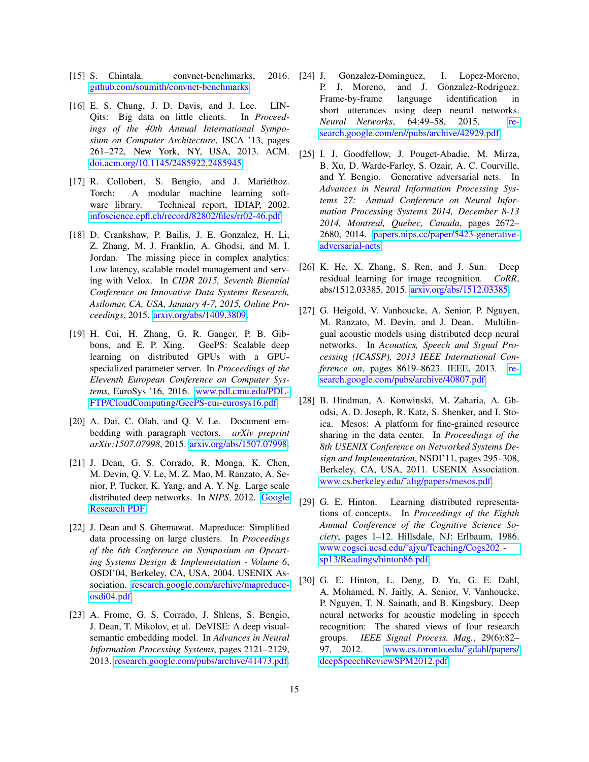- <span id="page-14-8"></span>[15] S. Chintala. convnet-benchmarks, 2016. [24] J. [github.com/soumith/convnet-benchmarks.](https://github.com/soumith/convnet-benchmarks)
- <span id="page-14-12"></span>[16] E. S. Chung, J. D. Davis, and J. Lee. LIN-Qits: Big data on little clients. In *Proceedings of the 40th Annual International Symposium on Computer Architecture*, ISCA '13, pages 261–272, New York, NY, USA, 2013. ACM. [doi.acm.org/10.1145/2485922.2485945.](http://doi.acm.org/10.1145/2485922.2485945)
- <span id="page-14-10"></span>[17] R. Collobert, S. Bengio, and J. Mariéthoz. Torch: A modular machine learning software library. Technical report, IDIAP, 2002. [infoscience.epfl.ch/record/82802/files/rr02-46.pdf.](http://infoscience.epfl.ch/record/82802/files/rr02-46.pdf)
- <span id="page-14-9"></span>[18] D. Crankshaw, P. Bailis, J. E. Gonzalez, H. Li, Z. Zhang, M. J. Franklin, A. Ghodsi, and M. I. Jordan. The missing piece in complex analytics: Low latency, scalable model management and serving with Velox. In *CIDR 2015, Seventh Biennial Conference on Innovative Data Systems Research, Asilomar, CA, USA, January 4-7, 2015, Online Proceedings*, 2015. [arxiv.org/abs/1409.3809.](http://arxiv.org/abs/1409.3809)
- <span id="page-14-6"></span>[19] H. Cui, H. Zhang, G. R. Ganger, P. B. Gibbons, and E. P. Xing. GeePS: Scalable deep learning on distributed GPUs with a GPUspecialized parameter server. In *Proceedings of the Eleventh European Conference on Computer Systems*, EuroSys '16, 2016. [www.pdl.cmu.edu/PDL-](http://www.pdl.cmu.edu/PDL-FTP/CloudComputing/GeePS-cui-eurosys16.pdf)[FTP/CloudComputing/GeePS-cui-eurosys16.pdf.](http://www.pdl.cmu.edu/PDL-FTP/CloudComputing/GeePS-cui-eurosys16.pdf)
- <span id="page-14-14"></span>[20] A. Dai, C. Olah, and Q. V. Le. Document embedding with paragraph vectors. *arXiv preprint arXiv:1507.07998*, 2015. [arxiv.org/abs/1507.07998.](http://arxiv.org/abs/1507.07998)
- <span id="page-14-4"></span>[21] J. Dean, G. S. Corrado, R. Monga, K. Chen, M. Devin, Q. V. Le, M. Z. Mao, M. Ranzato, A. Senior, P. Tucker, K. Yang, and A. Y. Ng. Large scale distributed deep networks. In *NIPS*, 2012. [Google](http://research.google.com/archive/large_deep_networks_nips2012.pdf) [Research PDF.](http://research.google.com/archive/large_deep_networks_nips2012.pdf)
- <span id="page-14-5"></span>[22] J. Dean and S. Ghemawat. Mapreduce: Simplified data processing on large clusters. In *Proceedings of the 6th Conference on Symposium on Opearting Systems Design & Implementation - Volume 6*, OSDI'04, Berkeley, CA, USA, 2004. USENIX Association. [research.google.com/archive/mapreduce](http://research.google.com/archive/mapreduce-osdi04.pdf)[osdi04.pdf.](http://research.google.com/archive/mapreduce-osdi04.pdf)
- <span id="page-14-0"></span>[23] A. Frome, G. S. Corrado, J. Shlens, S. Bengio, J. Dean, T. Mikolov, et al. DeVISE: A deep visualsemantic embedding model. In *Advances in Neural Information Processing Systems*, pages 2121–2129, 2013. [research.google.com/pubs/archive/41473.pdf.](http://research.google.com/pubs/archive/41473.pdf)
- <span id="page-14-1"></span>[24] J. Gonzalez-Dominguez, I. Lopez-Moreno, P. J. Moreno, and J. Gonzalez-Rodriguez. Frame-by-frame language identification in short utterances using deep neural networks. *Neural Networks*, 64:49–58, 2015. [re](http://research.google.com/en//pubs/archive/42929.pdf)[search.google.com/en//pubs/archive/42929.pdf.](http://research.google.com/en//pubs/archive/42929.pdf)
- <span id="page-14-11"></span>[25] I. J. Goodfellow, J. Pouget-Abadie, M. Mirza, B. Xu, D. Warde-Farley, S. Ozair, A. C. Courville, and Y. Bengio. Generative adversarial nets. In *Advances in Neural Information Processing Systems 27: Annual Conference on Neural Information Processing Systems 2014, December 8-13 2014, Montreal, Quebec, Canada*, pages 2672– 2680, 2014. [papers.nips.cc/paper/5423-generative](http://papers.nips.cc/paper/5423-generative-adversarial-nets)[adversarial-nets.](http://papers.nips.cc/paper/5423-generative-adversarial-nets)
- <span id="page-14-7"></span>[26] K. He, X. Zhang, S. Ren, and J. Sun. Deep residual learning for image recognition. *CoRR*, abs/1512.03385, 2015. [arxiv.org/abs/1512.03385.](http://arxiv.org/abs/1512.03385)
- <span id="page-14-3"></span>[27] G. Heigold, V. Vanhoucke, A. Senior, P. Nguyen, M. Ranzato, M. Devin, and J. Dean. Multilingual acoustic models using distributed deep neural networks. In *Acoustics, Speech and Signal Processing (ICASSP), 2013 IEEE International Conference on*, pages 8619–8623. IEEE, 2013. [re](https://research.google.com/pubs/archive/40807.pdf)[search.google.com/pubs/archive/40807.pdf.](https://research.google.com/pubs/archive/40807.pdf)
- <span id="page-14-15"></span>[28] B. Hindman, A. Konwinski, M. Zaharia, A. Ghodsi, A. D. Joseph, R. Katz, S. Shenker, and I. Stoica. Mesos: A platform for fine-grained resource sharing in the data center. In *Proceedings of the 8th USENIX Conference on Networked Systems Design and Implementation*, NSDI'11, pages 295–308, Berkeley, CA, USA, 2011. USENIX Association. [www.cs.berkeley.edu/˜alig/papers/mesos.pdf.](https://www.cs.berkeley.edu/~alig/papers/mesos.pdf)
- <span id="page-14-13"></span>[29] G. E. Hinton. Learning distributed representations of concepts. In *Proceedings of the Eighth Annual Conference of the Cognitive Science Society*, pages 1–12. Hillsdale, NJ: Erlbaum, 1986. [www.cogsci.ucsd.edu/˜ajyu/Teaching/Cogs202](http://www.cogsci.ucsd.edu/~ajyu/Teaching/Cogs202_sp13/Readings/hinton86.pdf) [sp13/Readings/hinton86.pdf.](http://www.cogsci.ucsd.edu/~ajyu/Teaching/Cogs202_sp13/Readings/hinton86.pdf)
- <span id="page-14-2"></span>[30] G. E. Hinton, L. Deng, D. Yu, G. E. Dahl, A. Mohamed, N. Jaitly, A. Senior, V. Vanhoucke, P. Nguyen, T. N. Sainath, and B. Kingsbury. Deep neural networks for acoustic modeling in speech recognition: The shared views of four research groups. *IEEE Signal Process. Mag.*, 29(6):82– 97, 2012. www.cs.toronto.edu/~gdahl/papers/ [deepSpeechReviewSPM2012.pdf.](http://www.cs.toronto.edu/~gdahl/papers/deepSpeechReviewSPM2012.pdf)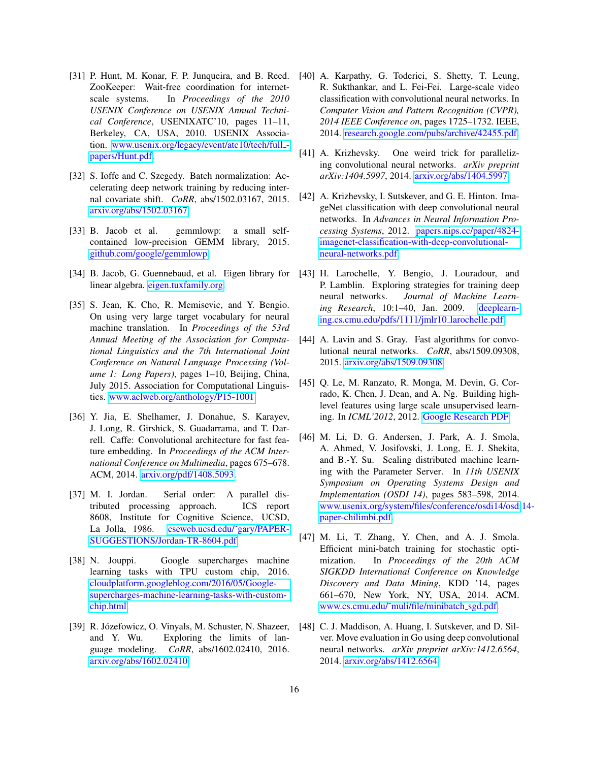- <span id="page-15-13"></span>[31] P. Hunt, M. Konar, F. P. Junqueira, and B. Reed. ZooKeeper: Wait-free coordination for internetscale systems. In *Proceedings of the 2010 USENIX Conference on USENIX Annual Technical Conference*, USENIXATC'10, pages 11–11, Berkeley, CA, USA, 2010. USENIX Association. [www.usenix.org/legacy/event/atc10/tech/full](https://www.usenix.org/legacy/event/atc10/tech/full_papers/Hunt.pdf) [papers/Hunt.pdf.](https://www.usenix.org/legacy/event/atc10/tech/full_papers/Hunt.pdf)
- <span id="page-15-11"></span>[32] S. Ioffe and C. Szegedy. Batch normalization: Accelerating deep network training by reducing internal covariate shift. *CoRR*, abs/1502.03167, 2015. [arxiv.org/abs/1502.03167.](http://arxiv.org/abs/1502.03167)
- <span id="page-15-16"></span>[33] B. Jacob et al. gemmlowp: a small selfcontained low-precision GEMM library, 2015. [github.com/google/gemmlowp.](https://github.com/google/gemmlowp)
- <span id="page-15-15"></span>[34] B. Jacob, G. Guennebaud, et al. Eigen library for linear algebra. [eigen.tuxfamily.org.](http://eigen.tuxfamily.org)
- <span id="page-15-12"></span>[35] S. Jean, K. Cho, R. Memisevic, and Y. Bengio. On using very large target vocabulary for neural machine translation. In *Proceedings of the 53rd Annual Meeting of the Association for Computational Linguistics and the 7th International Joint Conference on Natural Language Processing (Volume 1: Long Papers)*, pages 1–10, Beijing, China, July 2015. Association for Computational Linguistics. [www.aclweb.org/anthology/P15-1001.](http://www.aclweb.org/anthology/P15-1001)
- <span id="page-15-8"></span>[36] Y. Jia, E. Shelhamer, J. Donahue, S. Karayev, J. Long, R. Girshick, S. Guadarrama, and T. Darrell. Caffe: Convolutional architecture for fast feature embedding. In *Proceedings of the ACM International Conference on Multimedia*, pages 675–678. ACM, 2014. [arxiv.org/pdf/1408.5093.](http://arxiv.org/pdf/1408.5093)
- <span id="page-15-10"></span>[37] M. I. Jordan. Serial order: A parallel distributed processing approach. ICS report 8608, Institute for Cognitive Science, UCSD, La Jolla, 1986. cseweb.ucsd.edu/~gary/PAPER-[SUGGESTIONS/Jordan-TR-8604.pdf.](http://cseweb.ucsd.edu/~gary/PAPER-SUGGESTIONS/Jordan-TR-8604.pdf)
- <span id="page-15-7"></span>[38] N. Jouppi. Google supercharges machine learning tasks with TPU custom chip, 2016. [cloudplatform.googleblog.com/2016/05/Google](https://cloudplatform.googleblog.com/2016/05/Google-supercharges-machine-learning-tasks-with-custom-chip.html)[supercharges-machine-learning-tasks-with-custom](https://cloudplatform.googleblog.com/2016/05/Google-supercharges-machine-learning-tasks-with-custom-chip.html)[chip.html.](https://cloudplatform.googleblog.com/2016/05/Google-supercharges-machine-learning-tasks-with-custom-chip.html)
- <span id="page-15-5"></span>[39] R. Józefowicz, O. Vinyals, M. Schuster, N. Shazeer, and Y. Wu. Exploring the limits of language modeling. *CoRR*, abs/1602.02410, 2016. [arxiv.org/abs/1602.02410.](http://arxiv.org/abs/1602.02410)
- <span id="page-15-0"></span>[40] A. Karpathy, G. Toderici, S. Shetty, T. Leung, R. Sukthankar, and L. Fei-Fei. Large-scale video classification with convolutional neural networks. In *Computer Vision and Pattern Recognition (CVPR), 2014 IEEE Conference on*, pages 1725–1732. IEEE, 2014. [research.google.com/pubs/archive/42455.pdf.](https://research.google.com/pubs/archive/42455.pdf)
- <span id="page-15-9"></span>[41] A. Krizhevsky. One weird trick for parallelizing convolutional neural networks. *arXiv preprint arXiv:1404.5997*, 2014. [arxiv.org/abs/1404.5997.](http://arxiv.org/abs/1404.5997)
- <span id="page-15-3"></span>[42] A. Krizhevsky, I. Sutskever, and G. E. Hinton. ImageNet classification with deep convolutional neural networks. In *Advances in Neural Information Processing Systems*, 2012. [papers.nips.cc/paper/4824](https://papers.nips.cc/paper/4824-imagenet-classification-with-deep-convolutional-neural-networks.pdf) [imagenet-classification-with-deep-convolutional](https://papers.nips.cc/paper/4824-imagenet-classification-with-deep-convolutional-neural-networks.pdf)[neural-networks.pdf.](https://papers.nips.cc/paper/4824-imagenet-classification-with-deep-convolutional-neural-networks.pdf)
- <span id="page-15-14"></span>[43] H. Larochelle, Y. Bengio, J. Louradour, and P. Lamblin. Exploring strategies for training deep neural networks. *Journal of Machine Learning Research*, 10:1–40, Jan. 2009. [deeplearn](http://deeplearning.cs.cmu.edu/pdfs/1111/jmlr10_larochelle.pdf)[ing.cs.cmu.edu/pdfs/1111/jmlr10](http://deeplearning.cs.cmu.edu/pdfs/1111/jmlr10_larochelle.pdf) larochelle.pdf.
- <span id="page-15-17"></span>[44] A. Lavin and S. Gray. Fast algorithms for convolutional neural networks. *CoRR*, abs/1509.09308, 2015. [arxiv.org/abs/1509.09308.](http://arxiv.org/abs/1509.09308)
- <span id="page-15-1"></span>[45] Q. Le, M. Ranzato, R. Monga, M. Devin, G. Corrado, K. Chen, J. Dean, and A. Ng. Building highlevel features using large scale unsupervised learning. In *ICML'2012*, 2012. [Google Research PDF.](http://research.google.com/archive/unsupervised_icml2012.pdf)
- <span id="page-15-4"></span>[46] M. Li, D. G. Andersen, J. Park, A. J. Smola, A. Ahmed, V. Josifovski, J. Long, E. J. Shekita, and B.-Y. Su. Scaling distributed machine learning with the Parameter Server. In *11th USENIX Symposium on Operating Systems Design and Implementation (OSDI 14)*, pages 583–598, 2014. [www.usenix.org/system/files/conference/osdi14/osdi](https://www.usenix.org/system/files/conference/osdi14/osdi14-paper-chilimbi.pdf)14 [paper-chilimbi.pdf.](https://www.usenix.org/system/files/conference/osdi14/osdi14-paper-chilimbi.pdf)
- <span id="page-15-6"></span>[47] M. Li, T. Zhang, Y. Chen, and A. J. Smola. Efficient mini-batch training for stochastic optimization. In *Proceedings of the 20th ACM SIGKDD International Conference on Knowledge Discovery and Data Mining*, KDD '14, pages 661–670, New York, NY, USA, 2014. ACM. [www.cs.cmu.edu/˜muli/file/minibatch](https://www.cs.cmu.edu/~muli/file/minibatch_sgd.pdf) sgd.pdf.
- <span id="page-15-2"></span>[48] C. J. Maddison, A. Huang, I. Sutskever, and D. Silver. Move evaluation in Go using deep convolutional neural networks. *arXiv preprint arXiv:1412.6564*, 2014. [arxiv.org/abs/1412.6564.](http://arxiv.org/abs/1412.6564)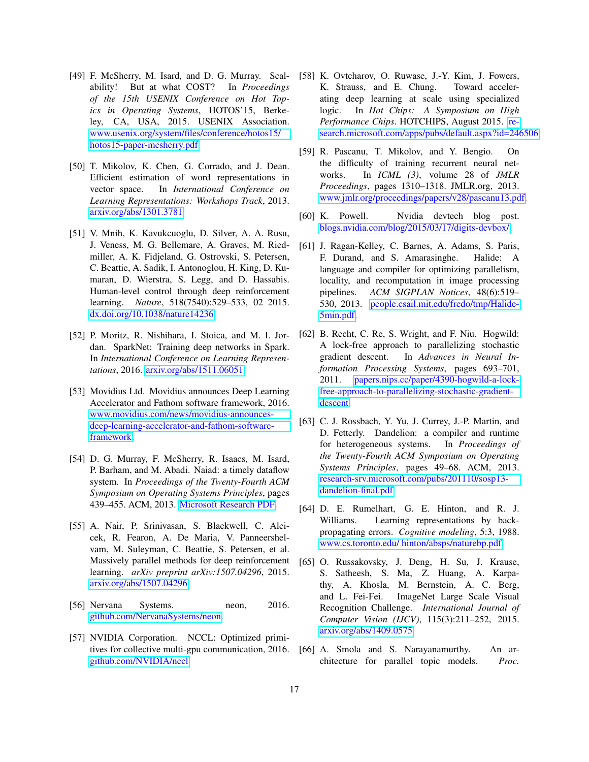- <span id="page-16-16"></span>[49] F. McSherry, M. Isard, and D. G. Murray. Scalability! But at what COST? In *Proceedings of the 15th USENIX Conference on Hot Topics in Operating Systems*, HOTOS'15, Berkeley, CA, USA, 2015. USENIX Association. [www.usenix.org/system/files/conference/hotos15/](https://www.usenix.org/system/files/conference/hotos15/\penalty \z@ hotos15-paper-mcsherry.pdf) [hotos15-paper-mcsherry.pdf.](https://www.usenix.org/system/files/conference/hotos15/\penalty \z@ hotos15-paper-mcsherry.pdf)
- <span id="page-16-0"></span>[50] T. Mikolov, K. Chen, G. Corrado, and J. Dean. Efficient estimation of word representations in vector space. In *International Conference on Learning Representations: Workshops Track*, 2013. [arxiv.org/abs/1301.3781.](http://arxiv.org/abs/1301.3781)
- <span id="page-16-2"></span>[51] V. Mnih, K. Kavukcuoglu, D. Silver, A. A. Rusu, J. Veness, M. G. Bellemare, A. Graves, M. Riedmiller, A. K. Fidjeland, G. Ostrovski, S. Petersen, C. Beattie, A. Sadik, I. Antonoglou, H. King, D. Kumaran, D. Wierstra, S. Legg, and D. Hassabis. Human-level control through deep reinforcement learning. *Nature*, 518(7540):529–533, 02 2015. [dx.doi.org/10.1038/nature14236.](http://dx.doi.org/10.1038/nature14236)
- <span id="page-16-8"></span>[52] P. Moritz, R. Nishihara, I. Stoica, and M. I. Jordan. SparkNet: Training deep networks in Spark. In *International Conference on Learning Representations*, 2016. [arxiv.org/abs/1511.06051.](http://arxiv.org/abs/1511.06051)
- <span id="page-16-5"></span>[53] Movidius Ltd. Movidius announces Deep Learning Accelerator and Fathom software framework, 2016. [www.movidius.com/news/movidius-announces](http://www.movidius.com/news/movidius-announces-deep-learning-accelerator-and-fathom-software-framework)[deep-learning-accelerator-and-fathom-software](http://www.movidius.com/news/movidius-announces-deep-learning-accelerator-and-fathom-software-framework)[framework.](http://www.movidius.com/news/movidius-announces-deep-learning-accelerator-and-fathom-software-framework)
- <span id="page-16-9"></span>[54] D. G. Murray, F. McSherry, R. Isaacs, M. Isard, P. Barham, and M. Abadi. Naiad: a timely dataflow system. In *Proceedings of the Twenty-Fourth ACM Symposium on Operating Systems Principles*, pages 439–455. ACM, 2013. [Microsoft Research PDF.](http://research.microsoft.com:8082/pubs/201100/naiad_sosp2013.pdf)
- <span id="page-16-1"></span>[55] A. Nair, P. Srinivasan, S. Blackwell, C. Alcicek, R. Fearon, A. De Maria, V. Panneershelvam, M. Suleyman, C. Beattie, S. Petersen, et al. Massively parallel methods for deep reinforcement learning. *arXiv preprint arXiv:1507.04296*, 2015. [arxiv.org/abs/1507.04296.](arxiv.org/abs/1507.04296)
- <span id="page-16-17"></span>[56] Nervana Systems. neon, 2016. [github.com/NervanaSystems/neon.](https://github.com/NervanaSystems/neon)
- <span id="page-16-14"></span>[57] NVIDIA Corporation. NCCL: Optimized primitives for collective multi-gpu communication, 2016. [github.com/NVIDIA/nccl.](https://github.com/NVIDIA/nccl)
- <span id="page-16-6"></span>[58] K. Ovtcharov, O. Ruwase, J.-Y. Kim, J. Fowers, K. Strauss, and E. Chung. Toward accelerating deep learning at scale using specialized logic. In *Hot Chips: A Symposium on High Performance Chips*. HOTCHIPS, August 2015. [re](http://research.microsoft.com/apps/pubs/default.aspx?id=246506)[search.microsoft.com/apps/pubs/default.aspx?id=246506.](http://research.microsoft.com/apps/pubs/default.aspx?id=246506)
- <span id="page-16-12"></span>[59] R. Pascanu, T. Mikolov, and Y. Bengio. On the difficulty of training recurrent neural networks. In *ICML (3)*, volume 28 of *JMLR Proceedings*, pages 1310–1318. JMLR.org, 2013. [www.jmlr.org/proceedings/papers/v28/pascanu13.pdf.](http://www.jmlr.org/proceedings/papers/v28/pascanu13.pdf)
- <span id="page-16-4"></span>[60] K. Powell. Nvidia devtech blog post. [blogs.nvidia.com/blog/2015/03/17/digits-devbox/.](https://blogs.nvidia.com/blog/2015/03/17/digits-devbox/)
- <span id="page-16-15"></span>[61] J. Ragan-Kelley, C. Barnes, A. Adams, S. Paris, F. Durand, and S. Amarasinghe. Halide: A language and compiler for optimizing parallelism, locality, and recomputation in image processing pipelines. *ACM SIGPLAN Notices*, 48(6):519– 530, 2013. [people.csail.mit.edu/fredo/tmp/Halide-](http://people.csail.mit.edu/fredo/tmp/Halide-5min.pdf)[5min.pdf.](http://people.csail.mit.edu/fredo/tmp/Halide-5min.pdf)
- <span id="page-16-13"></span>[62] B. Recht, C. Re, S. Wright, and F. Niu. Hogwild: A lock-free approach to parallelizing stochastic gradient descent. In *Advances in Neural Information Processing Systems*, pages 693–701, 2011. [papers.nips.cc/paper/4390-hogwild-a-lock](http://papers.nips.cc/paper/4390-hogwild-a-lock-free-approach-to-parallelizing-stochastic-gradient-descent)[free-approach-to-parallelizing-stochastic-gradient](http://papers.nips.cc/paper/4390-hogwild-a-lock-free-approach-to-parallelizing-stochastic-gradient-descent)[descent.](http://papers.nips.cc/paper/4390-hogwild-a-lock-free-approach-to-parallelizing-stochastic-gradient-descent)
- <span id="page-16-7"></span>[63] C. J. Rossbach, Y. Yu, J. Currey, J.-P. Martin, and D. Fetterly. Dandelion: a compiler and runtime for heterogeneous systems. In *Proceedings of the Twenty-Fourth ACM Symposium on Operating Systems Principles*, pages 49–68. ACM, 2013. [research-srv.microsoft.com/pubs/201110/sosp13](http://research-srv.microsoft.com/pubs/201110/sosp13-dandelion-final.pdf) [dandelion-final.pdf.](http://research-srv.microsoft.com/pubs/201110/sosp13-dandelion-final.pdf)
- <span id="page-16-11"></span>[64] D. E. Rumelhart, G. E. Hinton, and R. J. Williams. Learning representations by backpropagating errors. *Cognitive modeling*, 5:3, 1988. [www.cs.toronto.edu/ hinton/absps/naturebp.pdf.](http://www.cs.toronto.edu/~hinton/absps/naturebp.pdf)
- <span id="page-16-3"></span>[65] O. Russakovsky, J. Deng, H. Su, J. Krause, S. Satheesh, S. Ma, Z. Huang, A. Karpathy, A. Khosla, M. Bernstein, A. C. Berg, and L. Fei-Fei. ImageNet Large Scale Visual Recognition Challenge. *International Journal of Computer Vision (IJCV)*, 115(3):211–252, 2015. [arxiv.org/abs/1409.0575.](http://arxiv.org/abs/1409.0575)
- <span id="page-16-10"></span>[66] A. Smola and S. Narayanamurthy. An architecture for parallel topic models. *Proc.*